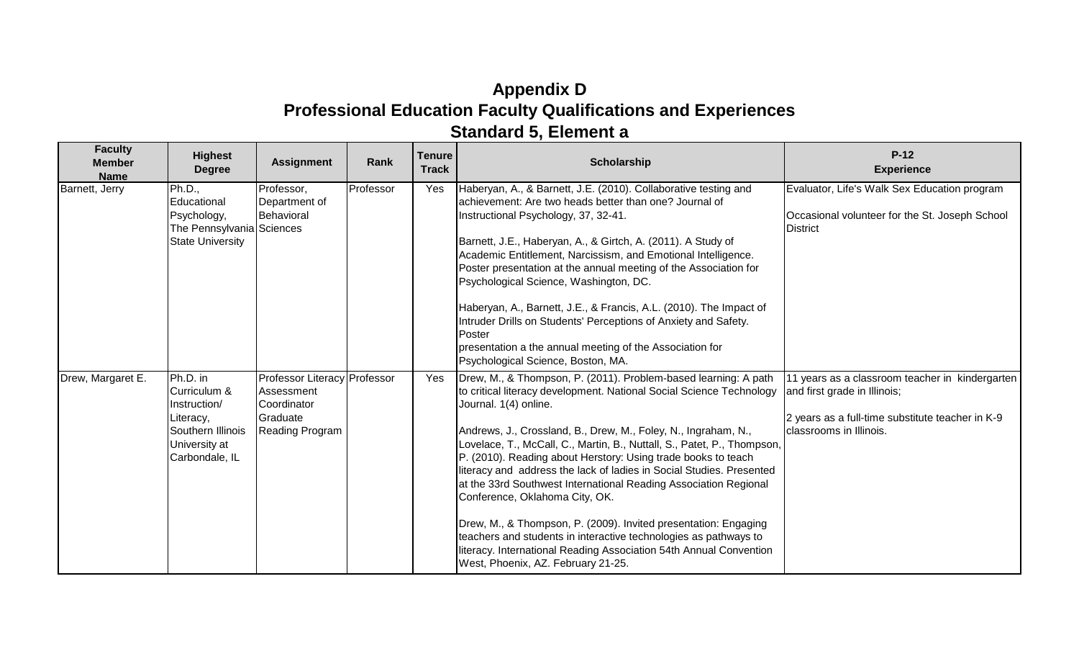## **Appendix D Professional Education Faculty Qualifications and Experiences Standard 5, Element a**

| <b>Faculty</b><br><b>Member</b><br><b>Name</b> | <b>Highest</b><br><b>Degree</b>                                                              | <b>Assignment</b>                                                            | Rank      | <b>Tenure</b><br><b>Track</b>                                                                                                                                                                                                                                                                                                                                                            | <b>Scholarship</b>                                                                                                                                                                                                                                                                                                                                                                                                                                                                                                                                        | $P-12$<br><b>Experience</b>                                                                                                         |
|------------------------------------------------|----------------------------------------------------------------------------------------------|------------------------------------------------------------------------------|-----------|------------------------------------------------------------------------------------------------------------------------------------------------------------------------------------------------------------------------------------------------------------------------------------------------------------------------------------------------------------------------------------------|-----------------------------------------------------------------------------------------------------------------------------------------------------------------------------------------------------------------------------------------------------------------------------------------------------------------------------------------------------------------------------------------------------------------------------------------------------------------------------------------------------------------------------------------------------------|-------------------------------------------------------------------------------------------------------------------------------------|
| Barnett, Jerry                                 | Ph.D.,<br>Educational<br>Psychology,<br>The Pennsylvania Sciences<br><b>State University</b> | Professor,<br>Department of<br>Behavioral                                    | Professor | Yes                                                                                                                                                                                                                                                                                                                                                                                      | Haberyan, A., & Barnett, J.E. (2010). Collaborative testing and<br>achievement: Are two heads better than one? Journal of<br>Instructional Psychology, 37, 32-41.<br>Barnett, J.E., Haberyan, A., & Girtch, A. (2011). A Study of<br>Academic Entitlement, Narcissism, and Emotional Intelligence.<br>Poster presentation at the annual meeting of the Association for<br>Psychological Science, Washington, DC.<br>Haberyan, A., Barnett, J.E., & Francis, A.L. (2010). The Impact of<br>Intruder Drills on Students' Perceptions of Anxiety and Safety. | Evaluator, Life's Walk Sex Education program<br>Occasional volunteer for the St. Joseph School<br><b>District</b>                   |
|                                                |                                                                                              |                                                                              |           |                                                                                                                                                                                                                                                                                                                                                                                          | Poster<br>presentation a the annual meeting of the Association for<br>Psychological Science, Boston, MA.                                                                                                                                                                                                                                                                                                                                                                                                                                                  |                                                                                                                                     |
| Drew, Margaret E.                              | Ph.D. in<br>Curriculum &<br>Instruction/<br>Literacy,                                        | <b>Professor Literacy Professor</b><br>Assessment<br>Coordinator<br>Graduate |           | Yes                                                                                                                                                                                                                                                                                                                                                                                      | Drew, M., & Thompson, P. (2011). Problem-based learning: A path<br>to critical literacy development. National Social Science Technology<br>Journal. 1(4) online.                                                                                                                                                                                                                                                                                                                                                                                          | 11 years as a classroom teacher in kindergarten<br>and first grade in Illinois;<br>2 years as a full-time substitute teacher in K-9 |
|                                                | Southern Illinois<br>University at<br>Carbondale, IL                                         | <b>Reading Program</b>                                                       |           | Andrews, J., Crossland, B., Drew, M., Foley, N., Ingraham, N.,<br>Lovelace, T., McCall, C., Martin, B., Nuttall, S., Patet, P., Thompson,<br>P. (2010). Reading about Herstory: Using trade books to teach<br>literacy and address the lack of ladies in Social Studies. Presented<br>at the 33rd Southwest International Reading Association Regional<br>Conference, Oklahoma City, OK. | classrooms in Illinois.                                                                                                                                                                                                                                                                                                                                                                                                                                                                                                                                   |                                                                                                                                     |
|                                                |                                                                                              |                                                                              |           |                                                                                                                                                                                                                                                                                                                                                                                          | Drew, M., & Thompson, P. (2009). Invited presentation: Engaging<br>teachers and students in interactive technologies as pathways to<br>literacy. International Reading Association 54th Annual Convention<br>West, Phoenix, AZ. February 21-25.                                                                                                                                                                                                                                                                                                           |                                                                                                                                     |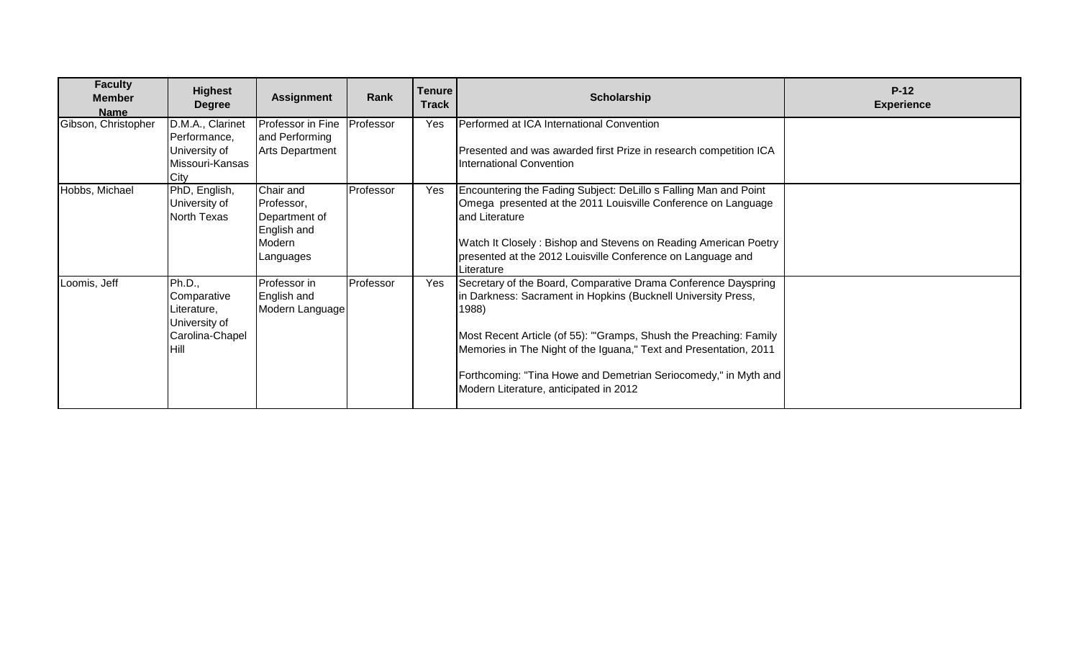| <b>Faculty</b><br><b>Member</b><br><b>Name</b> | <b>Highest</b><br><b>Degree</b>                                                   | <b>Assignment</b>                                                              | Rank      | <b>Tenure</b><br><b>Track</b> | <b>Scholarship</b>                                                                                                                                                                                                                                                                                                                                                                              | $P-12$<br><b>Experience</b> |
|------------------------------------------------|-----------------------------------------------------------------------------------|--------------------------------------------------------------------------------|-----------|-------------------------------|-------------------------------------------------------------------------------------------------------------------------------------------------------------------------------------------------------------------------------------------------------------------------------------------------------------------------------------------------------------------------------------------------|-----------------------------|
| Gibson, Christopher                            | D.M.A., Clarinet<br>Performance,<br>University of<br>Missouri-Kansas<br>City      | Professor in Fine<br>and Performing<br><b>Arts Department</b>                  | Professor | Yes                           | Performed at ICA International Convention<br>Presented and was awarded first Prize in research competition ICA<br>International Convention                                                                                                                                                                                                                                                      |                             |
| Hobbs, Michael                                 | PhD, English,<br>University of<br>North Texas                                     | Chair and<br>Professor,<br>Department of<br>English and<br>Modern<br>Languages | Professor | Yes                           | Encountering the Fading Subject: DeLillo s Falling Man and Point<br>Omega presented at the 2011 Louisville Conference on Language<br>and Literature<br>Watch It Closely: Bishop and Stevens on Reading American Poetry<br>presented at the 2012 Louisville Conference on Language and<br>Literature                                                                                             |                             |
| Loomis, Jeff                                   | Ph.D.,<br>Comparative<br>Literature,<br>University of<br>Carolina-Chapel<br>IHill | Professor in<br>English and<br>Modern Language                                 | Professor | Yes                           | Secretary of the Board, Comparative Drama Conference Dayspring<br>in Darkness: Sacrament in Hopkins (Bucknell University Press,<br>1988)<br>Most Recent Article (of 55): "Gramps, Shush the Preaching: Family<br>Memories in The Night of the Iguana," Text and Presentation, 2011<br>Forthcoming: "Tina Howe and Demetrian Seriocomedy," in Myth and<br>Modern Literature, anticipated in 2012 |                             |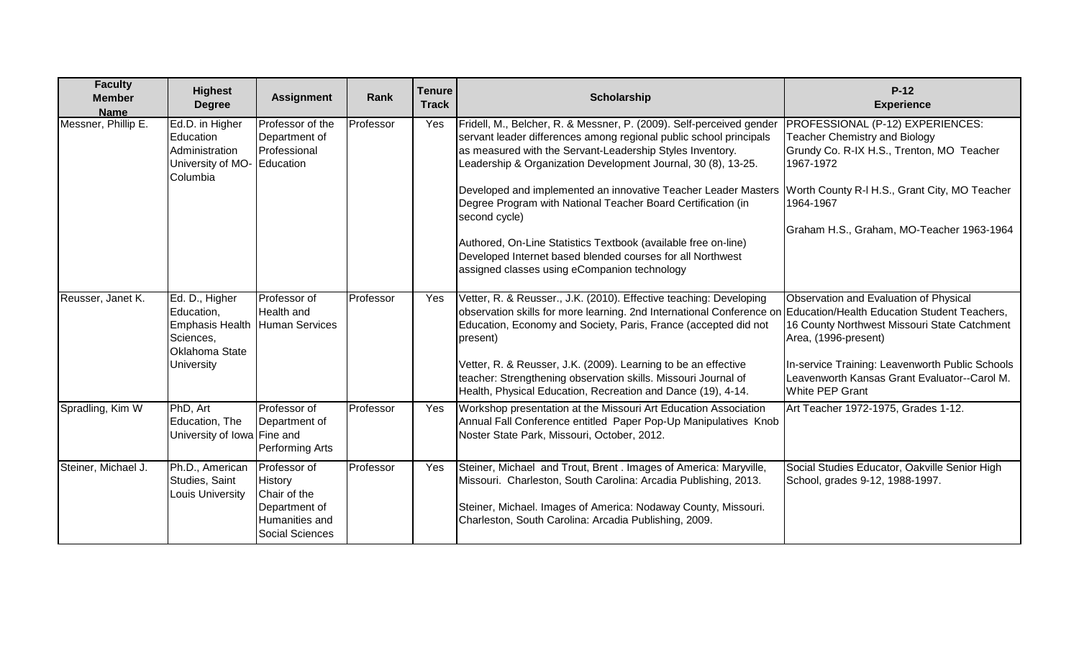| <b>Faculty</b><br><b>Member</b><br><b>Name</b> | <b>Highest</b><br><b>Degree</b>                                                                            | <b>Assignment</b>                                                                                    | Rank      | <b>Tenure</b><br><b>Track</b> | Scholarship                                                                                                                                                                                                                                                                                                                                                                                                                                                                                                                                                                                                 | $P-12$<br><b>Experience</b>                                                                                                                                                                                                                   |
|------------------------------------------------|------------------------------------------------------------------------------------------------------------|------------------------------------------------------------------------------------------------------|-----------|-------------------------------|-------------------------------------------------------------------------------------------------------------------------------------------------------------------------------------------------------------------------------------------------------------------------------------------------------------------------------------------------------------------------------------------------------------------------------------------------------------------------------------------------------------------------------------------------------------------------------------------------------------|-----------------------------------------------------------------------------------------------------------------------------------------------------------------------------------------------------------------------------------------------|
| Messner, Phillip E.                            | Ed.D. in Higher<br>Education<br>Administration<br>University of MO-<br>Columbia                            | Professor of the<br>Department of<br>Professional<br>Education                                       | Professor | Yes                           | Fridell, M., Belcher, R. & Messner, P. (2009). Self-perceived gender<br>servant leader differences among regional public school principals<br>as measured with the Servant-Leadership Styles Inventory.<br>Leadership & Organization Development Journal, 30 (8), 13-25.<br>Developed and implemented an innovative Teacher Leader Masters<br>Degree Program with National Teacher Board Certification (in<br>second cycle)<br>Authored, On-Line Statistics Textbook (available free on-line)<br>Developed Internet based blended courses for all Northwest<br>assigned classes using eCompanion technology | PROFESSIONAL (P-12) EXPERIENCES:<br><b>Teacher Chemistry and Biology</b><br>Grundy Co. R-IX H.S., Trenton, MO Teacher<br>1967-1972<br>Worth County R-I H.S., Grant City, MO Teacher<br>1964-1967<br>Graham H.S., Graham, MO-Teacher 1963-1964 |
| Reusser, Janet K.                              | Ed. D., Higher<br>Education,<br><b>Emphasis Health</b><br>Sciences,<br><b>Oklahoma State</b><br>University | Professor of<br>Health and<br><b>Human Services</b>                                                  | Professor | Yes                           | Vetter, R. & Reusser., J.K. (2010). Effective teaching: Developing<br>observation skills for more learning. 2nd International Conference on Education/Health Education Student Teachers,<br>Education, Economy and Society, Paris, France (accepted did not<br>present)<br>Vetter, R. & Reusser, J.K. (2009). Learning to be an effective<br>teacher: Strengthening observation skills. Missouri Journal of<br>Health, Physical Education, Recreation and Dance (19), 4-14.                                                                                                                                 | Observation and Evaluation of Physical<br>16 County Northwest Missouri State Catchment<br>Area, (1996-present)<br>In-service Training: Leavenworth Public Schools<br>Leavenworth Kansas Grant Evaluator--Carol M.<br>White PEP Grant          |
| Spradling, Kim W                               | PhD, Art<br>Education, The<br>University of Iowa Fine and                                                  | Professor of<br>Department of<br>Performing Arts                                                     | Professor | Yes                           | Workshop presentation at the Missouri Art Education Association<br>Annual Fall Conference entitled Paper Pop-Up Manipulatives Knob<br>Noster State Park, Missouri, October, 2012.                                                                                                                                                                                                                                                                                                                                                                                                                           | Art Teacher 1972-1975, Grades 1-12.                                                                                                                                                                                                           |
| Steiner, Michael J.                            | Ph.D., American<br>Studies, Saint<br>Louis University                                                      | Professor of<br>History<br>Chair of the<br>Department of<br>Humanities and<br><b>Social Sciences</b> | Professor | Yes                           | Steiner, Michael and Trout, Brent . Images of America: Maryville,<br>Missouri. Charleston, South Carolina: Arcadia Publishing, 2013.<br>Steiner, Michael. Images of America: Nodaway County, Missouri.<br>Charleston, South Carolina: Arcadia Publishing, 2009.                                                                                                                                                                                                                                                                                                                                             | Social Studies Educator, Oakville Senior High<br>School, grades 9-12, 1988-1997.                                                                                                                                                              |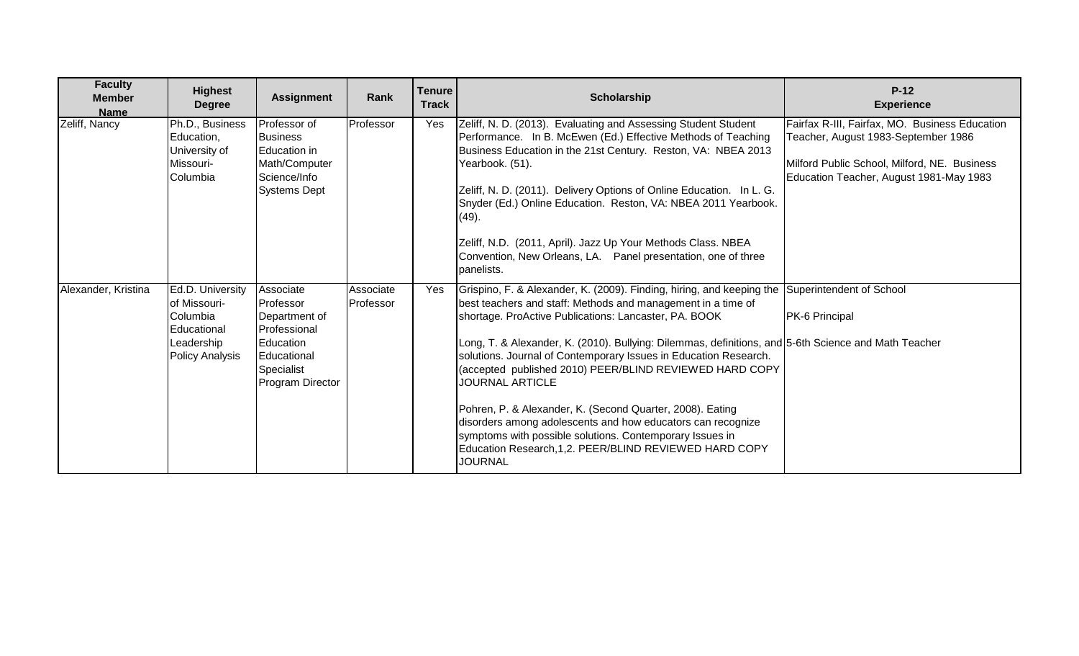| <b>Faculty</b><br><b>Member</b><br><b>Name</b> | <b>Highest</b><br><b>Degree</b>                                                                     | <b>Assignment</b>                                                                                                     | Rank                   | <b>Tenure</b><br><b>Track</b> | <b>Scholarship</b>                                                                                                                                                                                                                                                                                                                                                                                                                                                                                                                                                                                                                                                                                                                                            | $P-12$<br><b>Experience</b>                                                                                                                                                      |
|------------------------------------------------|-----------------------------------------------------------------------------------------------------|-----------------------------------------------------------------------------------------------------------------------|------------------------|-------------------------------|---------------------------------------------------------------------------------------------------------------------------------------------------------------------------------------------------------------------------------------------------------------------------------------------------------------------------------------------------------------------------------------------------------------------------------------------------------------------------------------------------------------------------------------------------------------------------------------------------------------------------------------------------------------------------------------------------------------------------------------------------------------|----------------------------------------------------------------------------------------------------------------------------------------------------------------------------------|
| Zeliff, Nancy                                  | Ph.D., Business<br>Education,<br>University of<br>Missouri-<br>Columbia                             | Professor of<br><b>Business</b><br>Education in<br>Math/Computer<br>Science/Info<br><b>Systems Dept</b>               | Professor              | Yes                           | Zeliff, N. D. (2013). Evaluating and Assessing Student Student<br>Performance. In B. McEwen (Ed.) Effective Methods of Teaching<br>Business Education in the 21st Century. Reston, VA: NBEA 2013<br>Yearbook. (51).<br>Zeliff, N. D. (2011). Delivery Options of Online Education. In L. G.<br>Snyder (Ed.) Online Education. Reston, VA: NBEA 2011 Yearbook.<br>(49).<br>Zeliff, N.D. (2011, April). Jazz Up Your Methods Class. NBEA<br>Convention, New Orleans, LA. Panel presentation, one of three<br>panelists.                                                                                                                                                                                                                                         | Fairfax R-III, Fairfax, MO. Business Education<br>Teacher, August 1983-September 1986<br>Milford Public School, Milford, NE. Business<br>Education Teacher, August 1981-May 1983 |
| Alexander, Kristina                            | Ed.D. University<br>of Missouri-<br>Columbia<br>Educational<br>Leadership<br><b>Policy Analysis</b> | Associate<br>Professor<br>Department of<br>Professional<br>Education<br>Educational<br>Specialist<br>Program Director | Associate<br>Professor | Yes                           | Grispino, F. & Alexander, K. (2009). Finding, hiring, and keeping the Superintendent of School<br>best teachers and staff: Methods and management in a time of<br>shortage. ProActive Publications: Lancaster, PA. BOOK<br>Long, T. & Alexander, K. (2010). Bullying: Dilemmas, definitions, and 5-6th Science and Math Teacher<br>solutions. Journal of Contemporary Issues in Education Research.<br>(accepted published 2010) PEER/BLIND REVIEWED HARD COPY<br><b>JOURNAL ARTICLE</b><br>Pohren, P. & Alexander, K. (Second Quarter, 2008). Eating<br>disorders among adolescents and how educators can recognize<br>symptoms with possible solutions. Contemporary Issues in<br>Education Research, 1, 2. PEER/BLIND REVIEWED HARD COPY<br><b>JOURNAL</b> | PK-6 Principal                                                                                                                                                                   |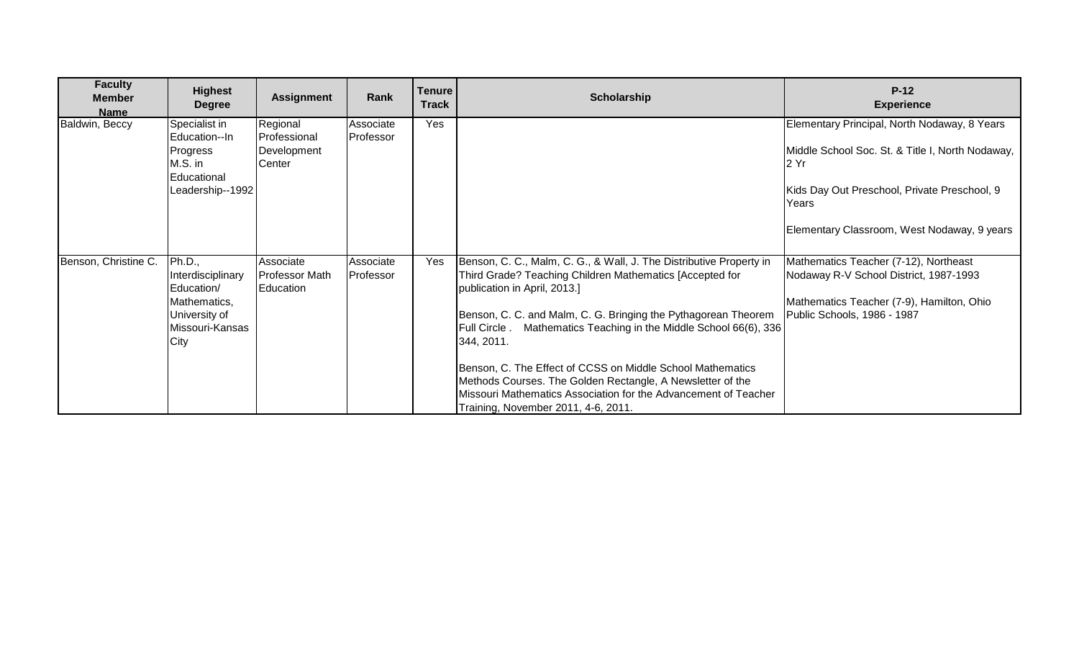| <b>Faculty</b><br><b>Member</b><br><b>Name</b> | <b>Highest</b><br><b>Degree</b>                                                                       | <b>Assignment</b>                                 | Rank                   | <b>Tenure</b><br><b>Track</b> | Scholarship                                                                                                                                                                                                                                                                                                                                                                                                                                                                                                                                                 | $P-12$<br><b>Experience</b>                                                                                                                                                                                              |
|------------------------------------------------|-------------------------------------------------------------------------------------------------------|---------------------------------------------------|------------------------|-------------------------------|-------------------------------------------------------------------------------------------------------------------------------------------------------------------------------------------------------------------------------------------------------------------------------------------------------------------------------------------------------------------------------------------------------------------------------------------------------------------------------------------------------------------------------------------------------------|--------------------------------------------------------------------------------------------------------------------------------------------------------------------------------------------------------------------------|
| Baldwin, Beccy                                 | Specialist in<br>Education--In<br>Progress<br>M.S. in<br>Educational<br>Leadership--1992              | Regional<br>Professional<br>Development<br>Center | Associate<br>Professor | Yes                           |                                                                                                                                                                                                                                                                                                                                                                                                                                                                                                                                                             | Elementary Principal, North Nodaway, 8 Years<br>Middle School Soc. St. & Title I, North Nodaway,<br>I2 Yr<br>Kids Day Out Preschool, Private Preschool, 9<br><b>Years</b><br>Elementary Classroom, West Nodaway, 9 years |
| Benson, Christine C.                           | Ph.D.,<br>Interdisciplinary<br>Education/<br>Mathematics,<br>University of<br>Missouri-Kansas<br>City | Associate<br>Professor Math<br>Education          | Associate<br>Professor | Yes                           | Benson, C. C., Malm, C. G., & Wall, J. The Distributive Property in<br>Third Grade? Teaching Children Mathematics [Accepted for<br>publication in April, 2013.]<br>Benson, C. C. and Malm, C. G. Bringing the Pythagorean Theorem<br>Full Circle . Mathematics Teaching in the Middle School 66(6), 336<br>344, 2011.<br>Benson, C. The Effect of CCSS on Middle School Mathematics<br>Methods Courses. The Golden Rectangle, A Newsletter of the<br>Missouri Mathematics Association for the Advancement of Teacher<br>Training, November 2011, 4-6, 2011. | Mathematics Teacher (7-12), Northeast<br>Nodaway R-V School District, 1987-1993<br>Mathematics Teacher (7-9), Hamilton, Ohio<br>Public Schools, 1986 - 1987                                                              |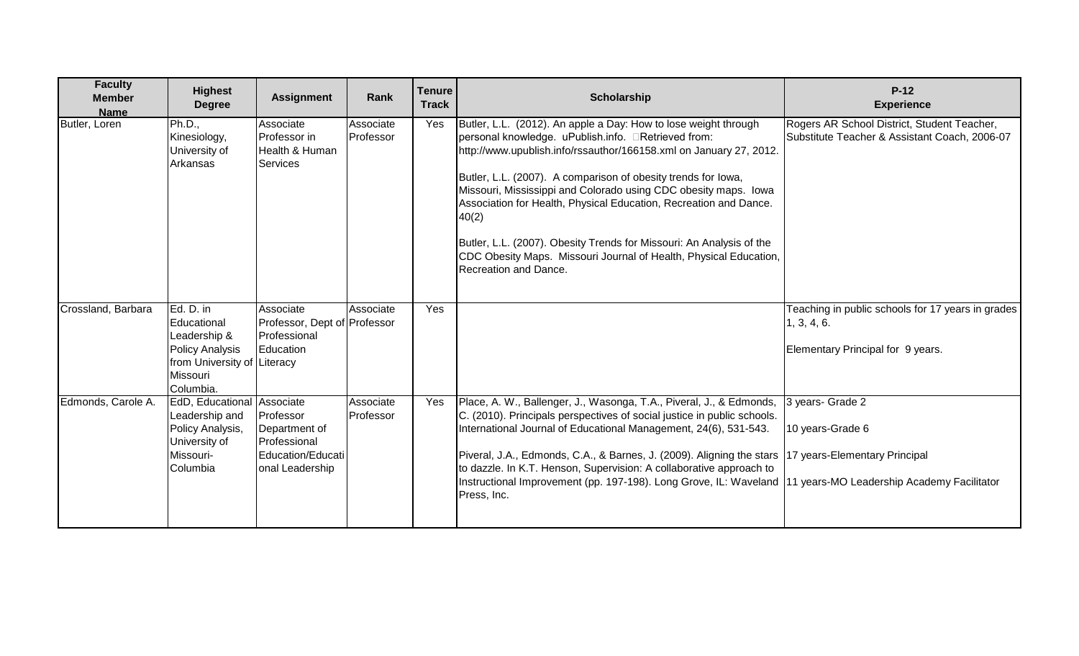| <b>Faculty</b><br><b>Member</b><br><b>Name</b> | <b>Highest</b><br><b>Degree</b>                                                                                            | <b>Assignment</b>                                                                  | Rank                   | <b>Tenure</b><br><b>Track</b> | Scholarship                                                                                                                                                                                                                                                                                                                                                                                                                                                                                                                                                                                 | $P-12$<br><b>Experience</b>                                                                           |
|------------------------------------------------|----------------------------------------------------------------------------------------------------------------------------|------------------------------------------------------------------------------------|------------------------|-------------------------------|---------------------------------------------------------------------------------------------------------------------------------------------------------------------------------------------------------------------------------------------------------------------------------------------------------------------------------------------------------------------------------------------------------------------------------------------------------------------------------------------------------------------------------------------------------------------------------------------|-------------------------------------------------------------------------------------------------------|
| Butler, Loren                                  | Ph.D.,<br>Kinesiology,<br>University of<br>Arkansas                                                                        | Associate<br>Professor in<br>Health & Human<br>Services                            | Associate<br>Professor | Yes                           | Butler, L.L. (2012). An apple a Day: How to lose weight through<br>personal knowledge. uPublish.info. <b>ERetrieved</b> from:<br>http://www.upublish.info/rssauthor/166158.xml on January 27, 2012.<br>Butler, L.L. (2007). A comparison of obesity trends for lowa,<br>Missouri, Mississippi and Colorado using CDC obesity maps. Iowa<br>Association for Health, Physical Education, Recreation and Dance.<br>40(2)<br>Butler, L.L. (2007). Obesity Trends for Missouri: An Analysis of the<br>CDC Obesity Maps. Missouri Journal of Health, Physical Education,<br>Recreation and Dance. | Rogers AR School District, Student Teacher,<br>Substitute Teacher & Assistant Coach, 2006-07          |
| Crossland, Barbara                             | Ed. D. in<br>Educational<br>Leadership &<br><b>Policy Analysis</b><br>from University of Literacy<br>Missouri<br>Columbia. | Associate<br>Professor, Dept of Professor<br>Professional<br>Education             | Associate              | Yes                           |                                                                                                                                                                                                                                                                                                                                                                                                                                                                                                                                                                                             | Teaching in public schools for 17 years in grades<br>1, 3, 4, 6.<br>Elementary Principal for 9 years. |
| Edmonds, Carole A.                             | EdD, Educational Associate<br>Leadership and<br>Policy Analysis,<br>University of<br>Missouri-<br>Columbia                 | Professor<br>Department of<br>Professional<br>Education/Educati<br>onal Leadership | Associate<br>Professor | Yes                           | Place, A. W., Ballenger, J., Wasonga, T.A., Piveral, J., & Edmonds,<br>C. (2010). Principals perspectives of social justice in public schools.<br>International Journal of Educational Management, 24(6), 531-543.<br>Piveral, J.A., Edmonds, C.A., & Barnes, J. (2009). Aligning the stars   17 years-Elementary Principal<br>to dazzle. In K.T. Henson, Supervision: A collaborative approach to<br>Instructional Improvement (pp. 197-198). Long Grove, IL: Waveland 11 years-MO Leadership Academy Facilitator<br>Press, Inc.                                                           | 3 years- Grade 2<br>10 years-Grade 6                                                                  |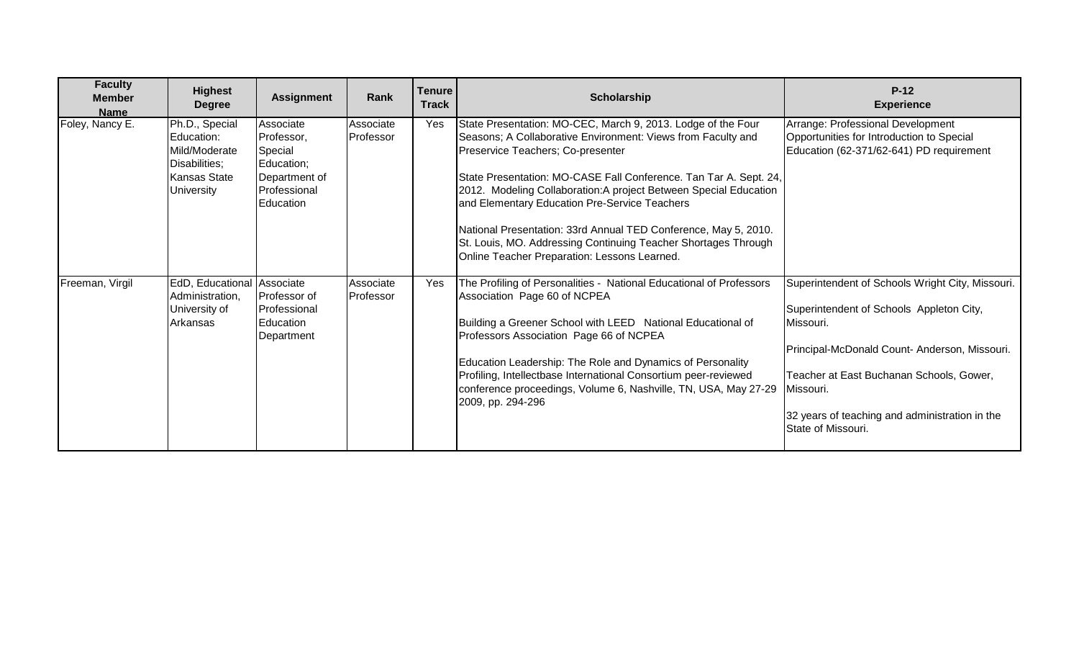| <b>Faculty</b><br><b>Member</b><br><b>Name</b> | <b>Highest</b><br><b>Degree</b>                                                                            | <b>Assignment</b>                                                                              | Rank                   | <b>Tenure</b><br><b>Track</b> | Scholarship                                                                                                                                                                                                                                                                                                                                                                                                                                                                                                                                       | $P-12$<br><b>Experience</b>                                                                                                                                                                                                                                                                 |
|------------------------------------------------|------------------------------------------------------------------------------------------------------------|------------------------------------------------------------------------------------------------|------------------------|-------------------------------|---------------------------------------------------------------------------------------------------------------------------------------------------------------------------------------------------------------------------------------------------------------------------------------------------------------------------------------------------------------------------------------------------------------------------------------------------------------------------------------------------------------------------------------------------|---------------------------------------------------------------------------------------------------------------------------------------------------------------------------------------------------------------------------------------------------------------------------------------------|
| Foley, Nancy E.                                | Ph.D., Special<br>Education:<br>Mild/Moderate<br>Disabilities;<br><b>Kansas State</b><br><b>University</b> | Associate<br>Professor,<br>Special<br>Education;<br>Department of<br>Professional<br>Education | Associate<br>Professor | Yes                           | State Presentation: MO-CEC, March 9, 2013. Lodge of the Four<br>Seasons; A Collaborative Environment: Views from Faculty and<br>Preservice Teachers; Co-presenter<br>State Presentation: MO-CASE Fall Conference. Tan Tar A. Sept. 24,<br>2012. Modeling Collaboration: A project Between Special Education<br>and Elementary Education Pre-Service Teachers<br>National Presentation: 33rd Annual TED Conference, May 5, 2010.<br>St. Louis, MO. Addressing Continuing Teacher Shortages Through<br>Online Teacher Preparation: Lessons Learned. | Arrange: Professional Development<br>Opportunities for Introduction to Special<br>Education (62-371/62-641) PD requirement                                                                                                                                                                  |
| Freeman, Virgil                                | EdD, Educational Associate<br>Administration,<br>University of<br>Arkansas                                 | Professor of<br>Professional<br>Education<br>Department                                        | Associate<br>Professor | <b>Yes</b>                    | The Profiling of Personalities - National Educational of Professors<br>Association Page 60 of NCPEA<br>Building a Greener School with LEED National Educational of<br>Professors Association Page 66 of NCPEA<br>Education Leadership: The Role and Dynamics of Personality<br>Profiling, Intellectbase International Consortium peer-reviewed<br>conference proceedings, Volume 6, Nashville, TN, USA, May 27-29<br>2009, pp. 294-296                                                                                                            | Superintendent of Schools Wright City, Missouri.<br>Superintendent of Schools Appleton City,<br>Missouri.<br>Principal-McDonald Count- Anderson, Missouri.<br>Teacher at East Buchanan Schools, Gower,<br>Missouri.<br>32 years of teaching and administration in the<br>State of Missouri. |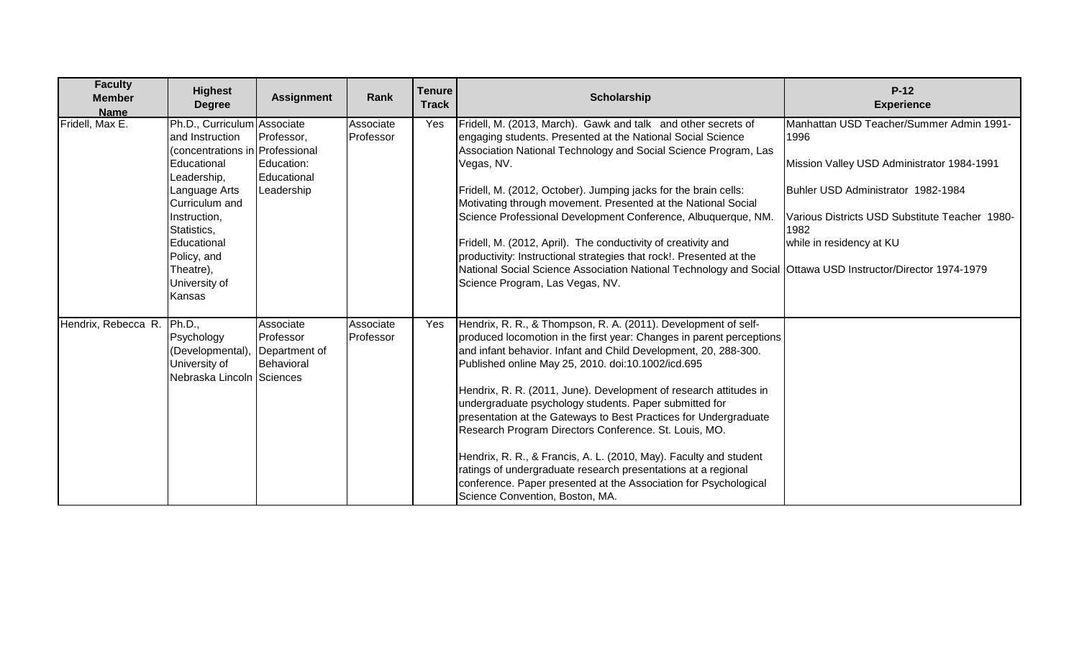| <b>Faculty</b><br><b>Member</b><br><b>Name</b> | <b>Highest</b><br><b>Degree</b>                                                                                                                                                                                                                         | <b>Assignment</b>                                     | Rank                   | <b>Tenure</b><br><b>Track</b> | Scholarship                                                                                                                                                                                                                                                                                                                                                                                                                                                                                                                                                                                                                                                                                                                                                              | $P-12$<br><b>Experience</b>                                                                                                                                                                                                |
|------------------------------------------------|---------------------------------------------------------------------------------------------------------------------------------------------------------------------------------------------------------------------------------------------------------|-------------------------------------------------------|------------------------|-------------------------------|--------------------------------------------------------------------------------------------------------------------------------------------------------------------------------------------------------------------------------------------------------------------------------------------------------------------------------------------------------------------------------------------------------------------------------------------------------------------------------------------------------------------------------------------------------------------------------------------------------------------------------------------------------------------------------------------------------------------------------------------------------------------------|----------------------------------------------------------------------------------------------------------------------------------------------------------------------------------------------------------------------------|
| Fridell, Max E.                                | Ph.D., Curriculum Associate<br>and Instruction<br>(concentrations in Professional<br>Educational<br>Leadership,<br>Language Arts<br>Curriculum and<br>Instruction,<br>Statistics,<br>Educational<br>Policy, and<br>Theatre),<br>University of<br>Kansas | Professor,<br>Education:<br>Educational<br>Leadership | Associate<br>Professor | Yes                           | Fridell, M. (2013, March). Gawk and talk and other secrets of<br>engaging students. Presented at the National Social Science<br>Association National Technology and Social Science Program, Las<br>Vegas, NV.<br>Fridell, M. (2012, October). Jumping jacks for the brain cells:<br>Motivating through movement. Presented at the National Social<br>Science Professional Development Conference, Albuquerque, NM.<br>Fridell, M. (2012, April). The conductivity of creativity and<br>productivity: Instructional strategies that rock!. Presented at the<br>National Social Science Association National Technology and Social Ottawa USD Instructor/Director 1974-1979<br>Science Program, Las Vegas, NV.                                                             | Manhattan USD Teacher/Summer Admin 1991-<br>1996<br>Mission Valley USD Administrator 1984-1991<br>Buhler USD Administrator 1982-1984<br>Various Districts USD Substitute Teacher 1980-<br>1982<br>while in residency at KU |
| Hendrix, Rebecca R.                            | Ph.D.,<br>Psychology<br>(Developmental)<br>University of<br>Nebraska Lincoln Sciences                                                                                                                                                                   | Associate<br>Professor<br>Department of<br>Behavioral | Associate<br>Professor | Yes                           | Hendrix, R. R., & Thompson, R. A. (2011). Development of self-<br>produced locomotion in the first year: Changes in parent perceptions<br>and infant behavior. Infant and Child Development, 20, 288-300.<br>Published online May 25, 2010. doi:10.1002/icd.695<br>Hendrix, R. R. (2011, June). Development of research attitudes in<br>undergraduate psychology students. Paper submitted for<br>presentation at the Gateways to Best Practices for Undergraduate<br>Research Program Directors Conference. St. Louis, MO.<br>Hendrix, R. R., & Francis, A. L. (2010, May). Faculty and student<br>ratings of undergraduate research presentations at a regional<br>conference. Paper presented at the Association for Psychological<br>Science Convention, Boston, MA. |                                                                                                                                                                                                                            |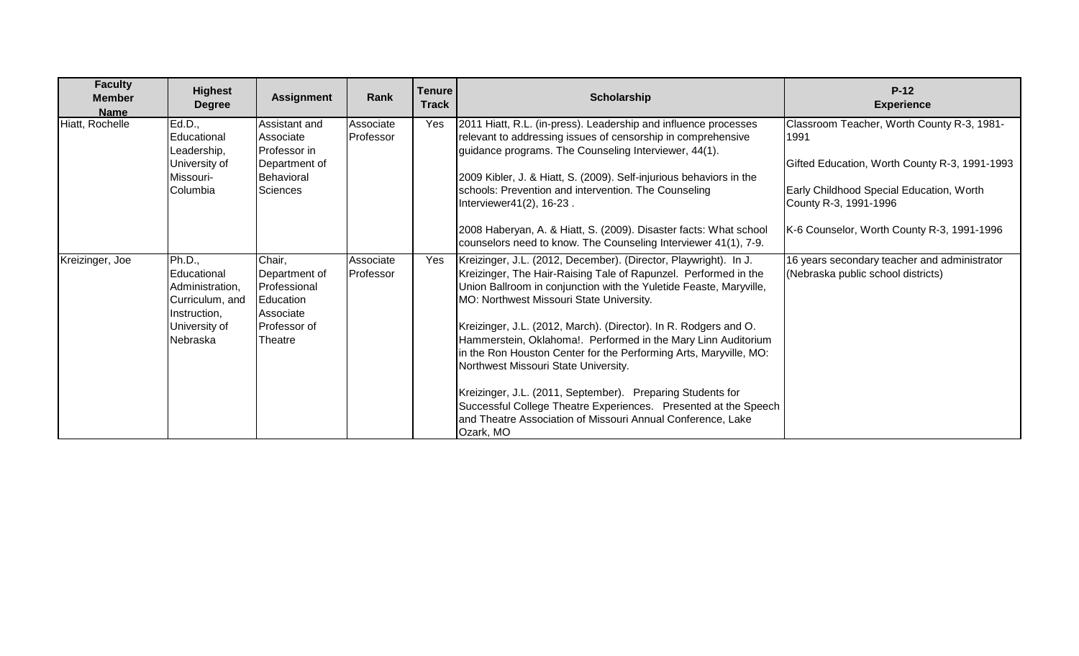| <b>Faculty</b><br><b>Member</b><br><b>Name</b> | <b>Highest</b><br><b>Degree</b>                                                                          | <b>Assignment</b>                                                                            | Rank                   | Tenure<br><b>Track</b> | <b>Scholarship</b>                                                                                                                                                                                                                                                                                                                                                                                                                                                                                                                                                                                                                                                                                                   | $P-12$<br><b>Experience</b>                                                                                                                                                                                            |
|------------------------------------------------|----------------------------------------------------------------------------------------------------------|----------------------------------------------------------------------------------------------|------------------------|------------------------|----------------------------------------------------------------------------------------------------------------------------------------------------------------------------------------------------------------------------------------------------------------------------------------------------------------------------------------------------------------------------------------------------------------------------------------------------------------------------------------------------------------------------------------------------------------------------------------------------------------------------------------------------------------------------------------------------------------------|------------------------------------------------------------------------------------------------------------------------------------------------------------------------------------------------------------------------|
| Hiatt, Rochelle                                | Ed.D.,<br>Educational<br>Leadership,<br>University of<br>Missouri-<br>Columbia                           | Assistant and<br>Associate<br>Professor in<br>Department of<br>Behavioral<br><b>Sciences</b> | Associate<br>Professor | Yes                    | 2011 Hiatt, R.L. (in-press). Leadership and influence processes<br>relevant to addressing issues of censorship in comprehensive<br>guidance programs. The Counseling Interviewer, 44(1).<br>2009 Kibler, J. & Hiatt, S. (2009). Self-injurious behaviors in the<br>schools: Prevention and intervention. The Counseling<br>Interviewer41(2), 16-23.<br>2008 Haberyan, A. & Hiatt, S. (2009). Disaster facts: What school<br>counselors need to know. The Counseling Interviewer 41(1), 7-9.                                                                                                                                                                                                                          | Classroom Teacher, Worth County R-3, 1981-<br>1991<br>Gifted Education, Worth County R-3, 1991-1993<br>Early Childhood Special Education, Worth<br>County R-3, 1991-1996<br>K-6 Counselor, Worth County R-3, 1991-1996 |
| Kreizinger, Joe                                | Ph.D.,<br>Educational<br>Administration,<br>Curriculum, and<br>Instruction,<br>University of<br>Nebraska | Chair,<br>Department of<br>Professional<br>Education<br>Associate<br>Professor of<br>Theatre | Associate<br>Professor | Yes                    | Kreizinger, J.L. (2012, December). (Director, Playwright). In J.<br>Kreizinger, The Hair-Raising Tale of Rapunzel. Performed in the<br>Union Ballroom in conjunction with the Yuletide Feaste, Maryville,<br>MO: Northwest Missouri State University.<br>Kreizinger, J.L. (2012, March). (Director). In R. Rodgers and O.<br>Hammerstein, Oklahoma!. Performed in the Mary Linn Auditorium<br>in the Ron Houston Center for the Performing Arts, Maryville, MO:<br>Northwest Missouri State University.<br>Kreizinger, J.L. (2011, September). Preparing Students for<br>Successful College Theatre Experiences. Presented at the Speech<br>and Theatre Association of Missouri Annual Conference, Lake<br>Ozark, MO | 16 years secondary teacher and administrator<br>(Nebraska public school districts)                                                                                                                                     |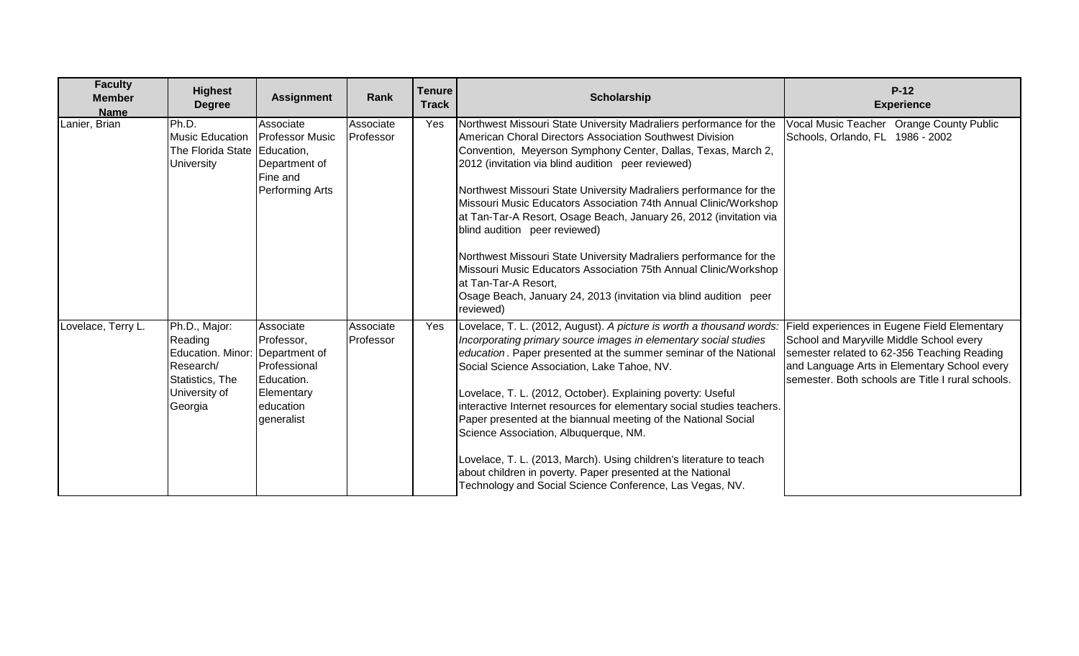| <b>Faculty</b><br><b>Member</b><br><b>Name</b> | <b>Highest</b><br><b>Degree</b>                                                                           | <b>Assignment</b>                                                                                               | <b>Rank</b>            | <b>Tenure</b><br><b>Track</b> | <b>Scholarship</b>                                                                                                                                                                                                                                                                                                                                                                                                                                                                                                                                                                                                                                                                                                                                         | $P-12$<br><b>Experience</b>                                                                                                                                                                                                                  |
|------------------------------------------------|-----------------------------------------------------------------------------------------------------------|-----------------------------------------------------------------------------------------------------------------|------------------------|-------------------------------|------------------------------------------------------------------------------------------------------------------------------------------------------------------------------------------------------------------------------------------------------------------------------------------------------------------------------------------------------------------------------------------------------------------------------------------------------------------------------------------------------------------------------------------------------------------------------------------------------------------------------------------------------------------------------------------------------------------------------------------------------------|----------------------------------------------------------------------------------------------------------------------------------------------------------------------------------------------------------------------------------------------|
| Lanier, Brian                                  | Ph.D.<br><b>Music Education</b><br>The Florida State Education,<br>University                             | Associate<br><b>Professor Music</b><br>Department of<br>Fine and<br>Performing Arts                             | Associate<br>Professor | Yes                           | Northwest Missouri State University Madraliers performance for the<br>American Choral Directors Association Southwest Division<br>Convention, Meyerson Symphony Center, Dallas, Texas, March 2,<br>2012 (invitation via blind audition peer reviewed)<br>Northwest Missouri State University Madraliers performance for the<br>Missouri Music Educators Association 74th Annual Clinic/Workshop<br>at Tan-Tar-A Resort, Osage Beach, January 26, 2012 (invitation via<br>blind audition peer reviewed)<br>Northwest Missouri State University Madraliers performance for the<br>Missouri Music Educators Association 75th Annual Clinic/Workshop<br>at Tan-Tar-A Resort,<br>Osage Beach, January 24, 2013 (invitation via blind audition peer<br>reviewed) | Vocal Music Teacher Orange County Public<br>Schools, Orlando, FL 1986 - 2002                                                                                                                                                                 |
| Lovelace, Terry L.                             | Ph.D., Major:<br>Reading<br>Education. Minor:<br>Research/<br>Statistics, The<br>University of<br>Georgia | Associate<br>Professor,<br>Department of<br>Professional<br>Education.<br>Elementary<br>education<br>generalist | Associate<br>Professor | Yes                           | Lovelace, T. L. (2012, August). A picture is worth a thousand words:<br>Incorporating primary source images in elementary social studies<br>education. Paper presented at the summer seminar of the National<br>Social Science Association, Lake Tahoe, NV.<br>Lovelace, T. L. (2012, October). Explaining poverty: Useful<br>interactive Internet resources for elementary social studies teachers.<br>Paper presented at the biannual meeting of the National Social<br>Science Association, Albuquerque, NM.<br>Lovelace, T. L. (2013, March). Using children's literature to teach<br>about children in poverty. Paper presented at the National<br>Technology and Social Science Conference, Las Vegas, NV.                                           | Field experiences in Eugene Field Elementary<br>School and Maryville Middle School every<br>semester related to 62-356 Teaching Reading<br>and Language Arts in Elementary School every<br>semester. Both schools are Title I rural schools. |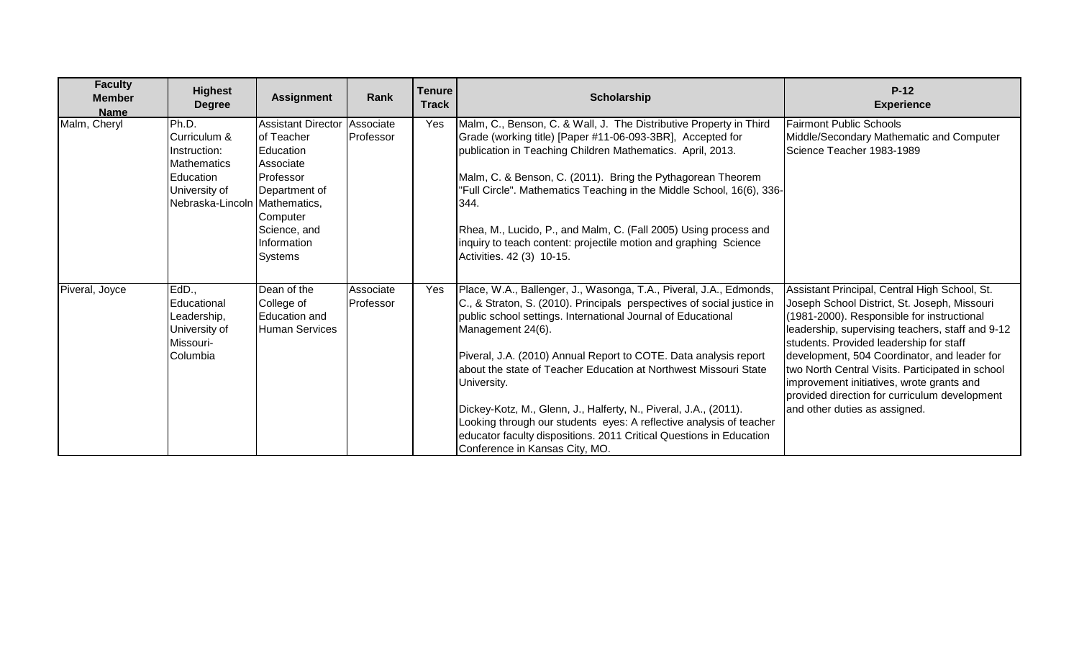| <b>Faculty</b><br><b>Member</b><br><b>Name</b> | <b>Highest</b><br><b>Degree</b>                                                                                            | <b>Assignment</b>                                                                                                                                            | Rank                   | <b>Tenure</b><br><b>Track</b> | Scholarship                                                                                                                                                                                                                                                                                                                                                                                                                                                                                                                                                                                                                                  | $P-12$<br><b>Experience</b>                                                                                                                                                                                                                                                                                                                                                                                                                                                   |
|------------------------------------------------|----------------------------------------------------------------------------------------------------------------------------|--------------------------------------------------------------------------------------------------------------------------------------------------------------|------------------------|-------------------------------|----------------------------------------------------------------------------------------------------------------------------------------------------------------------------------------------------------------------------------------------------------------------------------------------------------------------------------------------------------------------------------------------------------------------------------------------------------------------------------------------------------------------------------------------------------------------------------------------------------------------------------------------|-------------------------------------------------------------------------------------------------------------------------------------------------------------------------------------------------------------------------------------------------------------------------------------------------------------------------------------------------------------------------------------------------------------------------------------------------------------------------------|
| Malm, Cheryl                                   | Ph.D.<br>Curriculum &<br>Instruction:<br><b>Mathematics</b><br>Education<br>University of<br>Nebraska-Lincoln Mathematics, | Assistant Director<br>of Teacher<br><b>Education</b><br>Associate<br>Professor<br>Department of<br>Computer<br>Science, and<br>Information<br><b>Systems</b> | Associate<br>Professor | Yes                           | Malm, C., Benson, C. & Wall, J. The Distributive Property in Third<br>Grade (working title) [Paper #11-06-093-3BR], Accepted for<br>publication in Teaching Children Mathematics. April, 2013.<br>Malm, C. & Benson, C. (2011). Bring the Pythagorean Theorem<br>"Full Circle". Mathematics Teaching in the Middle School, 16(6), 336-<br>344.<br>Rhea, M., Lucido, P., and Malm, C. (Fall 2005) Using process and<br>inquiry to teach content: projectile motion and graphing Science<br>Activities. 42 (3) 10-15.                                                                                                                          | <b>Fairmont Public Schools</b><br>Middle/Secondary Mathematic and Computer<br>Science Teacher 1983-1989                                                                                                                                                                                                                                                                                                                                                                       |
| Piveral, Joyce                                 | EdD.,<br>Educational<br>Leadership,<br>University of<br>Missouri-<br>Columbia                                              | Dean of the<br>College of<br>Education and<br><b>Human Services</b>                                                                                          | Associate<br>Professor | Yes                           | Place, W.A., Ballenger, J., Wasonga, T.A., Piveral, J.A., Edmonds,<br>C., & Straton, S. (2010). Principals perspectives of social justice in<br>public school settings. International Journal of Educational<br>Management 24(6).<br>Piveral, J.A. (2010) Annual Report to COTE. Data analysis report<br>about the state of Teacher Education at Northwest Missouri State<br>University.<br>Dickey-Kotz, M., Glenn, J., Halferty, N., Piveral, J.A., (2011).<br>Looking through our students eyes: A reflective analysis of teacher<br>educator faculty dispositions. 2011 Critical Questions in Education<br>Conference in Kansas City, MO. | Assistant Principal, Central High School, St.<br>Joseph School District, St. Joseph, Missouri<br>(1981-2000). Responsible for instructional<br>leadership, supervising teachers, staff and 9-12<br>students. Provided leadership for staff<br>development, 504 Coordinator, and leader for<br>two North Central Visits. Participated in school<br>improvement initiatives, wrote grants and<br>provided direction for curriculum development<br>and other duties as assigned. |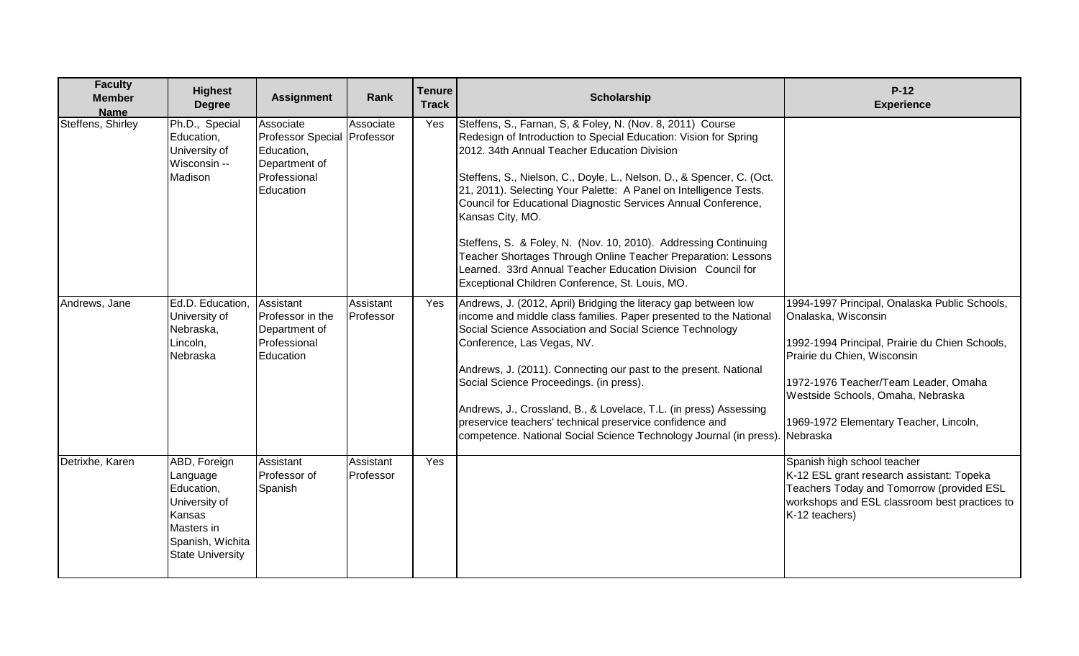| <b>Faculty</b><br><b>Member</b><br><b>Name</b> | <b>Highest</b><br><b>Degree</b>                                                                                                | <b>Assignment</b>                                                                                    | Rank                   | <b>Tenure</b><br><b>Track</b> | <b>Scholarship</b>                                                                                                                                                                                                                                                                                                                                                                                                                                                                                                                                                                                                                                                       | $P-12$<br><b>Experience</b>                                                                                                                                                                                                                                                              |
|------------------------------------------------|--------------------------------------------------------------------------------------------------------------------------------|------------------------------------------------------------------------------------------------------|------------------------|-------------------------------|--------------------------------------------------------------------------------------------------------------------------------------------------------------------------------------------------------------------------------------------------------------------------------------------------------------------------------------------------------------------------------------------------------------------------------------------------------------------------------------------------------------------------------------------------------------------------------------------------------------------------------------------------------------------------|------------------------------------------------------------------------------------------------------------------------------------------------------------------------------------------------------------------------------------------------------------------------------------------|
| Steffens, Shirley                              | Ph.D., Special<br>Education,<br>University of<br>Wisconsin --<br>Madison                                                       | Associate<br>Professor Special Professor<br>Education,<br>Department of<br>Professional<br>Education | Associate              | Yes                           | Steffens, S., Farnan, S, & Foley, N. (Nov. 8, 2011) Course<br>Redesign of Introduction to Special Education: Vision for Spring<br>2012. 34th Annual Teacher Education Division<br>Steffens, S., Nielson, C., Doyle, L., Nelson, D., & Spencer, C. (Oct.<br>21, 2011). Selecting Your Palette: A Panel on Intelligence Tests.<br>Council for Educational Diagnostic Services Annual Conference,<br>Kansas City, MO.<br>Steffens, S. & Foley, N. (Nov. 10, 2010). Addressing Continuing<br>Teacher Shortages Through Online Teacher Preparation: Lessons<br>Learned. 33rd Annual Teacher Education Division Council for<br>Exceptional Children Conference, St. Louis, MO. |                                                                                                                                                                                                                                                                                          |
| Andrews, Jane                                  | Ed.D. Education,<br>University of<br>Nebraska,<br>Lincoln,<br>Nebraska                                                         | Assistant<br>Professor in the<br>Department of<br>Professional<br>Education                          | Assistant<br>Professor | Yes                           | Andrews, J. (2012, April) Bridging the literacy gap between low<br>income and middle class families. Paper presented to the National<br>Social Science Association and Social Science Technology<br>Conference, Las Vegas, NV.<br>Andrews, J. (2011). Connecting our past to the present. National<br>Social Science Proceedings. (in press).<br>Andrews, J., Crossland, B., & Lovelace, T.L. (in press) Assessing<br>preservice teachers' technical preservice confidence and<br>competence. National Social Science Technology Journal (in press).                                                                                                                     | 1994-1997 Principal, Onalaska Public Schools,<br>Onalaska, Wisconsin<br>1992-1994 Principal, Prairie du Chien Schools,<br>Prairie du Chien, Wisconsin<br>1972-1976 Teacher/Team Leader, Omaha<br>Westside Schools, Omaha, Nebraska<br>1969-1972 Elementary Teacher, Lincoln,<br>Nebraska |
| Detrixhe, Karen                                | ABD, Foreign<br>Language<br>Education,<br>University of<br>Kansas<br>Masters in<br>Spanish, Wichita<br><b>State University</b> | Assistant<br>Professor of<br>Spanish                                                                 | Assistant<br>Professor | Yes                           |                                                                                                                                                                                                                                                                                                                                                                                                                                                                                                                                                                                                                                                                          | Spanish high school teacher<br>K-12 ESL grant research assistant: Topeka<br>Teachers Today and Tomorrow (provided ESL<br>workshops and ESL classroom best practices to<br>K-12 teachers)                                                                                                 |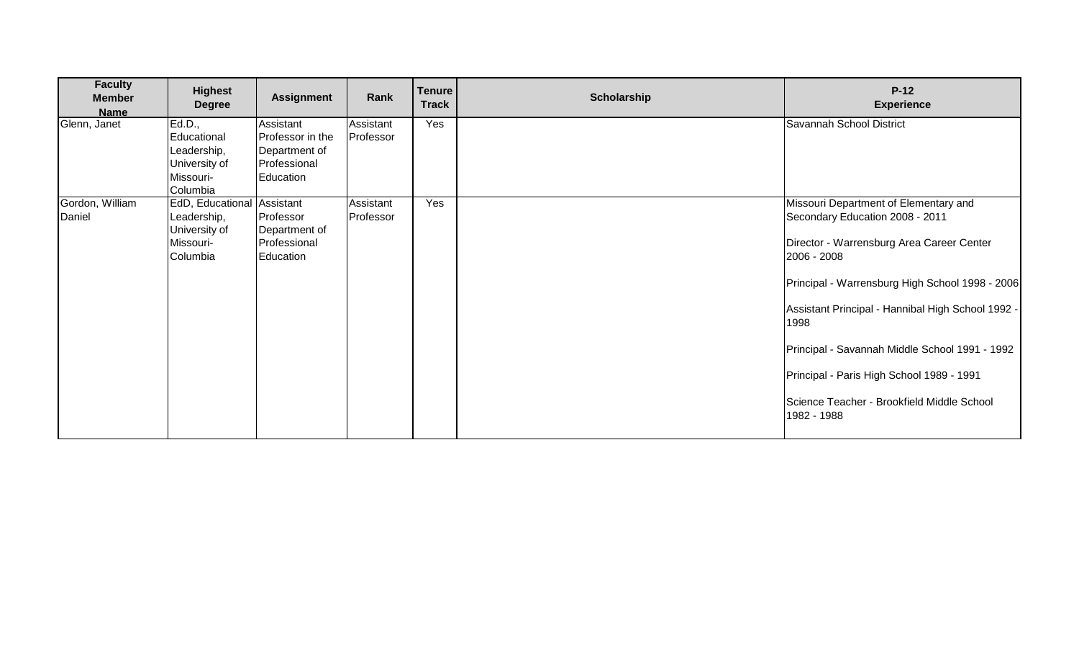| <b>Faculty</b><br><b>Member</b><br><b>Name</b> | <b>Highest</b><br><b>Degree</b>                                                     | <b>Assignment</b>                                                           | Rank                   | <b>Tenure</b><br><b>Track</b> | Scholarship | $P-12$<br><b>Experience</b>                                                                                                                                                                                                                                                                                                                                                                                      |
|------------------------------------------------|-------------------------------------------------------------------------------------|-----------------------------------------------------------------------------|------------------------|-------------------------------|-------------|------------------------------------------------------------------------------------------------------------------------------------------------------------------------------------------------------------------------------------------------------------------------------------------------------------------------------------------------------------------------------------------------------------------|
| Glenn, Janet                                   | Ed.D.,<br>Educational<br>Leadership,<br>University of<br>Missouri-<br>Columbia      | Assistant<br>Professor in the<br>Department of<br>Professional<br>Education | Assistant<br>Professor | Yes                           |             | Savannah School District                                                                                                                                                                                                                                                                                                                                                                                         |
| Gordon, William<br>Daniel                      | EdD, Educational Assistant<br>Leadership,<br>University of<br>Missouri-<br>Columbia | Professor<br>Department of<br>Professional<br>Education                     | Assistant<br>Professor | Yes                           |             | Missouri Department of Elementary and<br>Secondary Education 2008 - 2011<br>Director - Warrensburg Area Career Center<br>2006 - 2008<br>Principal - Warrensburg High School 1998 - 2006<br>Assistant Principal - Hannibal High School 1992 -<br>1998<br>Principal - Savannah Middle School 1991 - 1992<br>Principal - Paris High School 1989 - 1991<br>Science Teacher - Brookfield Middle School<br>1982 - 1988 |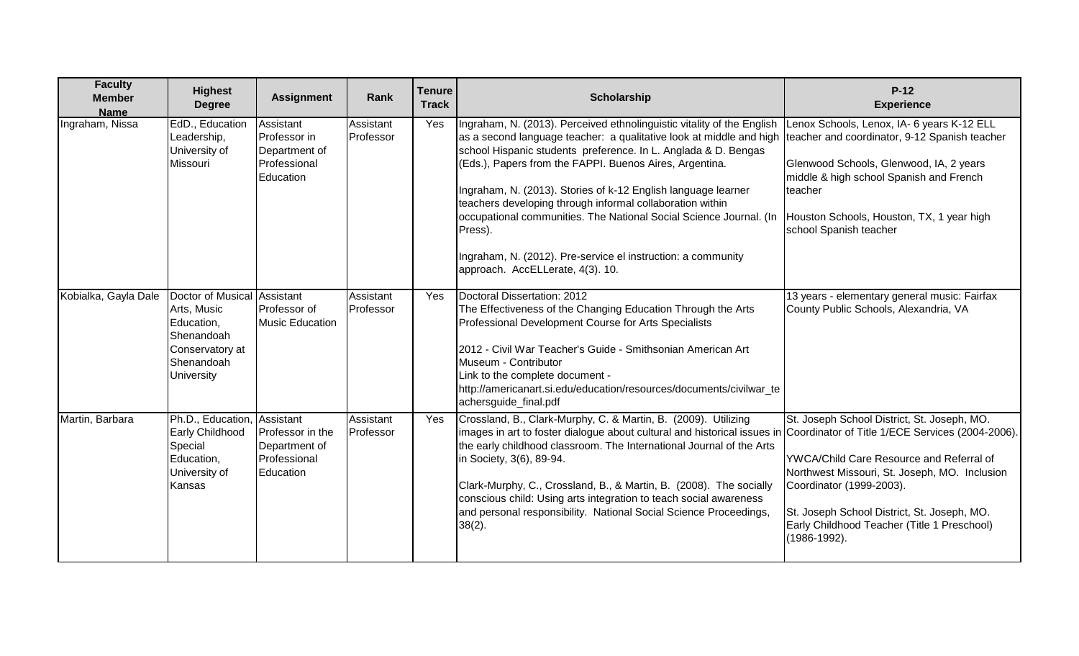| <b>Faculty</b><br><b>Member</b><br><b>Name</b> | <b>Highest</b><br><b>Degree</b>                                                                                       | <b>Assignment</b>                                                           | Rank                   | <b>Tenure</b><br><b>Track</b> | Scholarship                                                                                                                                                                                                                                                                                                                                                                                                                                                                                                                                                                                   | $P-12$<br><b>Experience</b>                                                                                                                                                                                                                                                        |
|------------------------------------------------|-----------------------------------------------------------------------------------------------------------------------|-----------------------------------------------------------------------------|------------------------|-------------------------------|-----------------------------------------------------------------------------------------------------------------------------------------------------------------------------------------------------------------------------------------------------------------------------------------------------------------------------------------------------------------------------------------------------------------------------------------------------------------------------------------------------------------------------------------------------------------------------------------------|------------------------------------------------------------------------------------------------------------------------------------------------------------------------------------------------------------------------------------------------------------------------------------|
| Ingraham, Nissa                                | EdD., Education<br>Leadership,<br>University of<br>Missouri                                                           | Assistant<br>Professor in<br>Department of<br>Professional<br>Education     | Assistant<br>Professor | Yes                           | Ingraham, N. (2013). Perceived ethnolinguistic vitality of the English<br>as a second language teacher: a qualitative look at middle and high<br>school Hispanic students preference. In L. Anglada & D. Bengas<br>(Eds.), Papers from the FAPPI. Buenos Aires, Argentina.<br>Ingraham, N. (2013). Stories of k-12 English language learner<br>teachers developing through informal collaboration within<br>occupational communities. The National Social Science Journal. (In<br>Press).<br>Ingraham, N. (2012). Pre-service el instruction: a community<br>approach. AccELLerate, 4(3). 10. | Lenox Schools, Lenox, IA- 6 years K-12 ELL<br>teacher and coordinator, 9-12 Spanish teacher<br>Glenwood Schools, Glenwood, IA, 2 years<br>middle & high school Spanish and French<br>teacher<br>Houston Schools, Houston, TX, 1 year high<br>school Spanish teacher                |
| Kobialka, Gayla Dale                           | Doctor of Musical Assistant<br>Arts, Music<br>Education,<br>Shenandoah<br>Conservatory at<br>Shenandoah<br>University | Professor of<br><b>Music Education</b>                                      | Assistant<br>Professor | Yes                           | Doctoral Dissertation: 2012<br>The Effectiveness of the Changing Education Through the Arts<br>Professional Development Course for Arts Specialists<br>2012 - Civil War Teacher's Guide - Smithsonian American Art<br>Museum - Contributor<br>Link to the complete document -<br>http://americanart.si.edu/education/resources/documents/civilwar_te<br>achersguide_final.pdf                                                                                                                                                                                                                 | 13 years - elementary general music: Fairfax<br>County Public Schools, Alexandria, VA                                                                                                                                                                                              |
| Martin, Barbara                                | Ph.D., Education,<br>Early Childhood<br>Special<br>Education,<br>University of<br>Kansas                              | Assistant<br>Professor in the<br>Department of<br>Professional<br>Education | Assistant<br>Professor | Yes                           | Crossland, B., Clark-Murphy, C. & Martin, B. (2009). Utilizing<br>images in art to foster dialogue about cultural and historical issues in Coordinator of Title 1/ECE Services (2004-2006)<br>the early childhood classroom. The International Journal of the Arts<br>in Society, 3(6), 89-94.<br>Clark-Murphy, C., Crossland, B., & Martin, B. (2008). The socially<br>conscious child: Using arts integration to teach social awareness<br>and personal responsibility. National Social Science Proceedings,<br>$38(2)$ .                                                                   | St. Joseph School District, St. Joseph, MO.<br>YWCA/Child Care Resource and Referral of<br>Northwest Missouri, St. Joseph, MO. Inclusion<br>Coordinator (1999-2003).<br>St. Joseph School District, St. Joseph, MO.<br>Early Childhood Teacher (Title 1 Preschool)<br>(1986-1992). |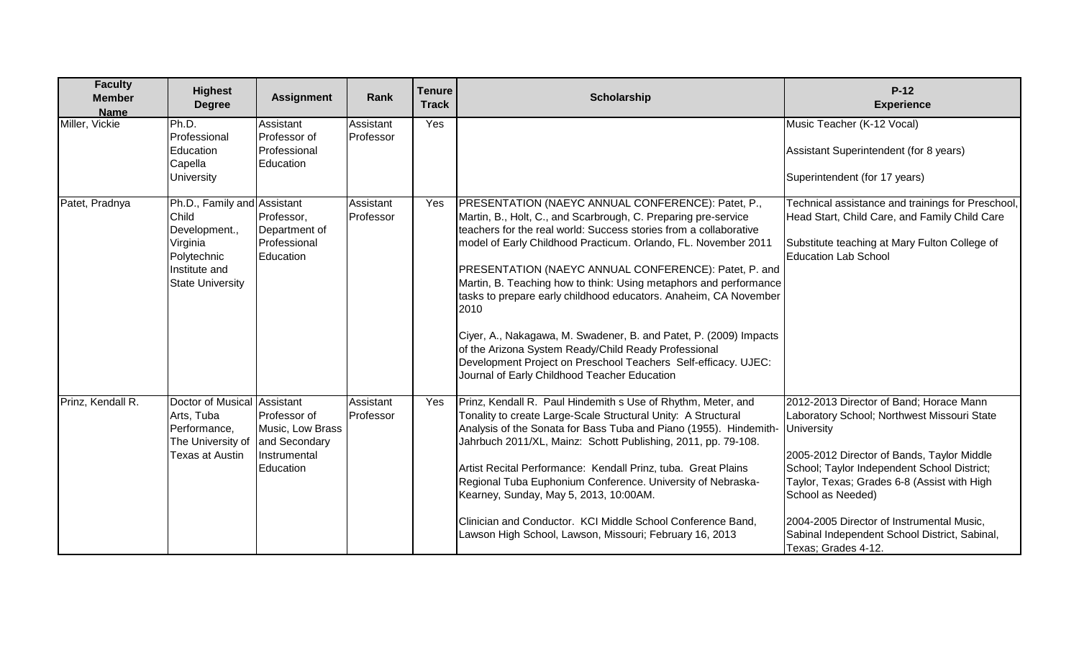| <b>Faculty</b><br><b>Member</b><br><b>Name</b> | <b>Highest</b><br><b>Degree</b>                                                                                              | <b>Assignment</b>                                                              | Rank                   | <b>Tenure</b><br><b>Track</b> | Scholarship                                                                                                                                                                                                                                                                                                                                                                                                                                                                                                                                                                                                                                                                                                          | $P-12$<br><b>Experience</b>                                                                                                                                                                                                                                                                                                                                                                       |
|------------------------------------------------|------------------------------------------------------------------------------------------------------------------------------|--------------------------------------------------------------------------------|------------------------|-------------------------------|----------------------------------------------------------------------------------------------------------------------------------------------------------------------------------------------------------------------------------------------------------------------------------------------------------------------------------------------------------------------------------------------------------------------------------------------------------------------------------------------------------------------------------------------------------------------------------------------------------------------------------------------------------------------------------------------------------------------|---------------------------------------------------------------------------------------------------------------------------------------------------------------------------------------------------------------------------------------------------------------------------------------------------------------------------------------------------------------------------------------------------|
| Miller, Vickie                                 | Ph.D.<br>Professional<br>Education<br>Capella<br><b>University</b>                                                           | Assistant<br>Professor of<br>Professional<br>Education                         | Assistant<br>Professor | Yes                           |                                                                                                                                                                                                                                                                                                                                                                                                                                                                                                                                                                                                                                                                                                                      | Music Teacher (K-12 Vocal)<br>Assistant Superintendent (for 8 years)<br>Superintendent (for 17 years)                                                                                                                                                                                                                                                                                             |
| Patet, Pradnya                                 | Ph.D., Family and Assistant<br>Child<br>Development.,<br>Virginia<br>Polytechnic<br>Institute and<br><b>State University</b> | Professor,<br>Department of<br>Professional<br>Education                       | Assistant<br>Professor | Yes                           | PRESENTATION (NAEYC ANNUAL CONFERENCE): Patet, P.,<br>Martin, B., Holt, C., and Scarbrough, C. Preparing pre-service<br>teachers for the real world: Success stories from a collaborative<br>model of Early Childhood Practicum. Orlando, FL. November 2011<br>PRESENTATION (NAEYC ANNUAL CONFERENCE): Patet, P. and<br>Martin, B. Teaching how to think: Using metaphors and performance<br>tasks to prepare early childhood educators. Anaheim, CA November<br>2010<br>Ciyer, A., Nakagawa, M. Swadener, B. and Patet, P. (2009) Impacts<br>of the Arizona System Ready/Child Ready Professional<br>Development Project on Preschool Teachers Self-efficacy. UJEC:<br>Journal of Early Childhood Teacher Education | Technical assistance and trainings for Preschool,<br>Head Start, Child Care, and Family Child Care<br>Substitute teaching at Mary Fulton College of<br><b>Education Lab School</b>                                                                                                                                                                                                                |
| Prinz, Kendall R.                              | Doctor of Musical Assistant<br>Arts, Tuba<br>Performance,<br>The University of<br>Texas at Austin                            | Professor of<br>Music, Low Brass<br>and Secondary<br>Instrumental<br>Education | Assistant<br>Professor | Yes                           | Prinz, Kendall R. Paul Hindemith s Use of Rhythm, Meter, and<br>Tonality to create Large-Scale Structural Unity: A Structural<br>Analysis of the Sonata for Bass Tuba and Piano (1955). Hindemith-<br>Jahrbuch 2011/XL, Mainz: Schott Publishing, 2011, pp. 79-108.<br>Artist Recital Performance: Kendall Prinz, tuba. Great Plains<br>Regional Tuba Euphonium Conference. University of Nebraska-<br>Kearney, Sunday, May 5, 2013, 10:00AM.<br>Clinician and Conductor. KCI Middle School Conference Band,<br>Lawson High School, Lawson, Missouri; February 16, 2013                                                                                                                                              | 2012-2013 Director of Band; Horace Mann<br>Laboratory School; Northwest Missouri State<br><b>University</b><br>2005-2012 Director of Bands, Taylor Middle<br>School; Taylor Independent School District;<br>Taylor, Texas; Grades 6-8 (Assist with High<br>School as Needed)<br>2004-2005 Director of Instrumental Music.<br>Sabinal Independent School District, Sabinal,<br>Texas; Grades 4-12. |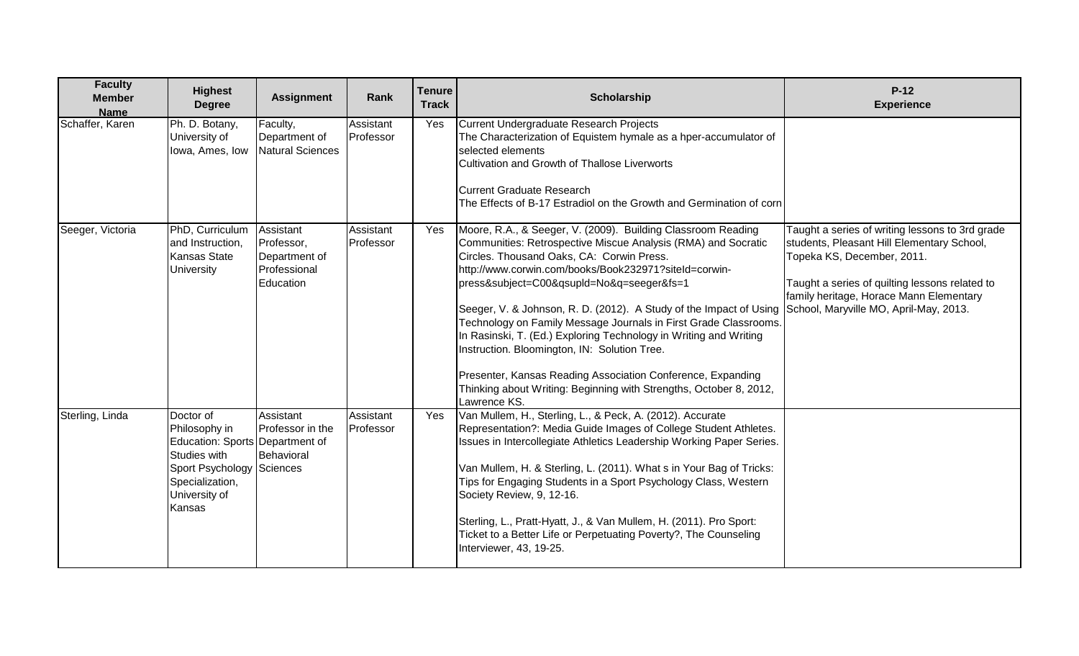| <b>Faculty</b><br><b>Member</b><br><b>Name</b> | <b>Highest</b><br><b>Degree</b>                                                                                                                          | <b>Assignment</b>                                                     | Rank                   | <b>Tenure</b><br><b>Track</b> | <b>Scholarship</b>                                                                                                                                                                                                                                                                                                                                                                                                                                                                                                                                                                                                                                                                                   | $P-12$<br><b>Experience</b>                                                                                                                                                                                                                                        |
|------------------------------------------------|----------------------------------------------------------------------------------------------------------------------------------------------------------|-----------------------------------------------------------------------|------------------------|-------------------------------|------------------------------------------------------------------------------------------------------------------------------------------------------------------------------------------------------------------------------------------------------------------------------------------------------------------------------------------------------------------------------------------------------------------------------------------------------------------------------------------------------------------------------------------------------------------------------------------------------------------------------------------------------------------------------------------------------|--------------------------------------------------------------------------------------------------------------------------------------------------------------------------------------------------------------------------------------------------------------------|
| Schaffer, Karen                                | Ph. D. Botany,<br>University of<br>Iowa, Ames, Iow                                                                                                       | Faculty,<br>Department of<br>Natural Sciences                         | Assistant<br>Professor | Yes                           | Current Undergraduate Research Projects<br>The Characterization of Equistem hymale as a hper-accumulator of<br>selected elements<br>Cultivation and Growth of Thallose Liverworts<br><b>Current Graduate Research</b><br>The Effects of B-17 Estradiol on the Growth and Germination of corn                                                                                                                                                                                                                                                                                                                                                                                                         |                                                                                                                                                                                                                                                                    |
| Seeger, Victoria                               | PhD, Curriculum<br>and Instruction,<br><b>Kansas State</b><br><b>University</b>                                                                          | Assistant<br>Professor,<br>Department of<br>Professional<br>Education | Assistant<br>Professor | Yes                           | Moore, R.A., & Seeger, V. (2009). Building Classroom Reading<br>Communities: Retrospective Miscue Analysis (RMA) and Socratic<br>Circles. Thousand Oaks, CA: Corwin Press.<br>http://www.corwin.com/books/Book232971?siteId=corwin-<br>press&subject=C00&qsupId=No&q=seeger&fs=1<br>Seeger, V. & Johnson, R. D. (2012). A Study of the Impact of Using<br>Technology on Family Message Journals in First Grade Classrooms.<br>In Rasinski, T. (Ed.) Exploring Technology in Writing and Writing<br>Instruction. Bloomington, IN: Solution Tree.<br>Presenter, Kansas Reading Association Conference, Expanding<br>Thinking about Writing: Beginning with Strengths, October 8, 2012,<br>Lawrence KS. | Taught a series of writing lessons to 3rd grade<br>students, Pleasant Hill Elementary School,<br>Topeka KS, December, 2011.<br>Taught a series of quilting lessons related to<br>family heritage, Horace Mann Elementary<br>School, Maryville MO, April-May, 2013. |
| Sterling, Linda                                | Doctor of<br>Philosophy in<br>Education: Sports Department of<br>Studies with<br>Sport Psychology Sciences<br>Specialization,<br>University of<br>Kansas | Assistant<br>Professor in the<br>Behavioral                           | Assistant<br>Professor | Yes                           | Van Mullem, H., Sterling, L., & Peck, A. (2012). Accurate<br>Representation?: Media Guide Images of College Student Athletes.<br>Issues in Intercollegiate Athletics Leadership Working Paper Series.<br>Van Mullem, H. & Sterling, L. (2011). What s in Your Bag of Tricks:<br>Tips for Engaging Students in a Sport Psychology Class, Western<br>Society Review, 9, 12-16.<br>Sterling, L., Pratt-Hyatt, J., & Van Mullem, H. (2011). Pro Sport:<br>Ticket to a Better Life or Perpetuating Poverty?, The Counseling<br>Interviewer, 43, 19-25.                                                                                                                                                    |                                                                                                                                                                                                                                                                    |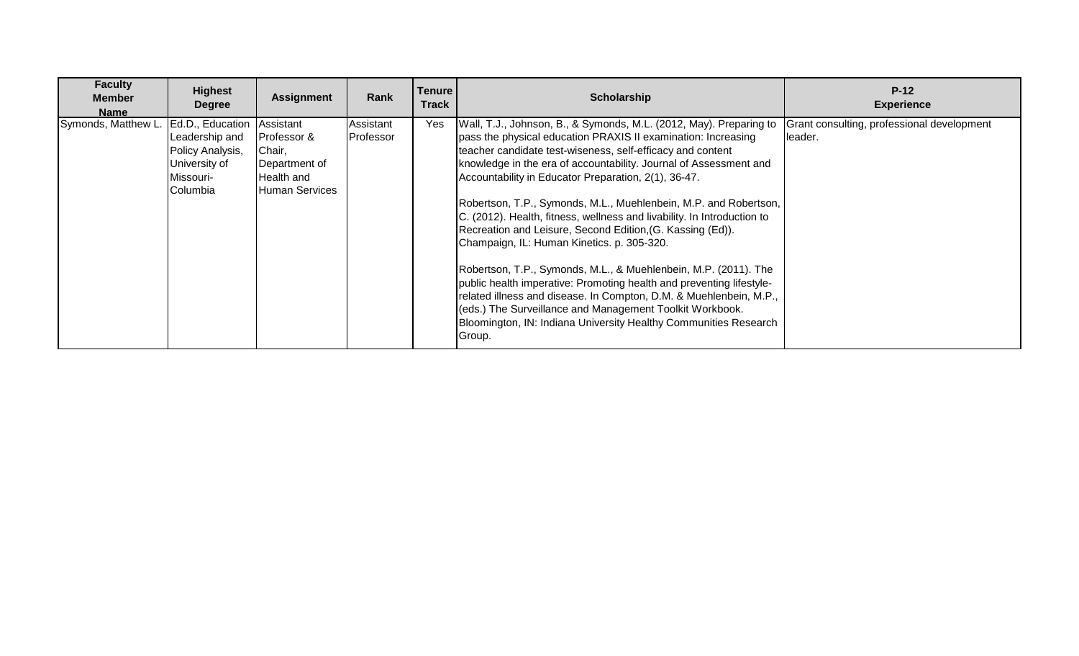| <b>Faculty</b><br><b>Member</b><br>Name | <b>Highest</b><br><b>Degree</b>                                                                  | <b>Assignment</b>                                                                          | Rank                           | <b>Tenure</b><br><b>Track</b> | <b>Scholarship</b>                                                                                                                                                                                                                                                                                                                                                                                                                                                                                                                                                                                                                                                                                                                                                                                                                                                                                                                                   | $P-12$<br><b>Experience</b>                            |
|-----------------------------------------|--------------------------------------------------------------------------------------------------|--------------------------------------------------------------------------------------------|--------------------------------|-------------------------------|------------------------------------------------------------------------------------------------------------------------------------------------------------------------------------------------------------------------------------------------------------------------------------------------------------------------------------------------------------------------------------------------------------------------------------------------------------------------------------------------------------------------------------------------------------------------------------------------------------------------------------------------------------------------------------------------------------------------------------------------------------------------------------------------------------------------------------------------------------------------------------------------------------------------------------------------------|--------------------------------------------------------|
| Symonds, Matthew L.                     | Ed.D., Education<br>Leadership and<br>Policy Analysis,<br>University of<br>Missouri-<br>Columbia | Assistant<br>Professor &<br>Chair,<br>Department of<br>Health and<br><b>Human Services</b> | Assistant<br><b>IProfessor</b> | Yes                           | Wall, T.J., Johnson, B., & Symonds, M.L. (2012, May). Preparing to<br>pass the physical education PRAXIS II examination: Increasing<br>teacher candidate test-wiseness, self-efficacy and content<br>knowledge in the era of accountability. Journal of Assessment and<br>Accountability in Educator Preparation, 2(1), 36-47.<br>Robertson, T.P., Symonds, M.L., Muehlenbein, M.P. and Robertson,<br>C. (2012). Health, fitness, wellness and livability. In Introduction to<br>Recreation and Leisure, Second Edition, (G. Kassing (Ed)).<br>Champaign, IL: Human Kinetics. p. 305-320.<br>Robertson, T.P., Symonds, M.L., & Muehlenbein, M.P. (2011). The<br>public health imperative: Promoting health and preventing lifestyle-<br>related illness and disease. In Compton, D.M. & Muehlenbein, M.P.,<br>(eds.) The Surveillance and Management Toolkit Workbook.<br>Bloomington, IN: Indiana University Healthy Communities Research<br>Group. | Grant consulting, professional development<br>lleader. |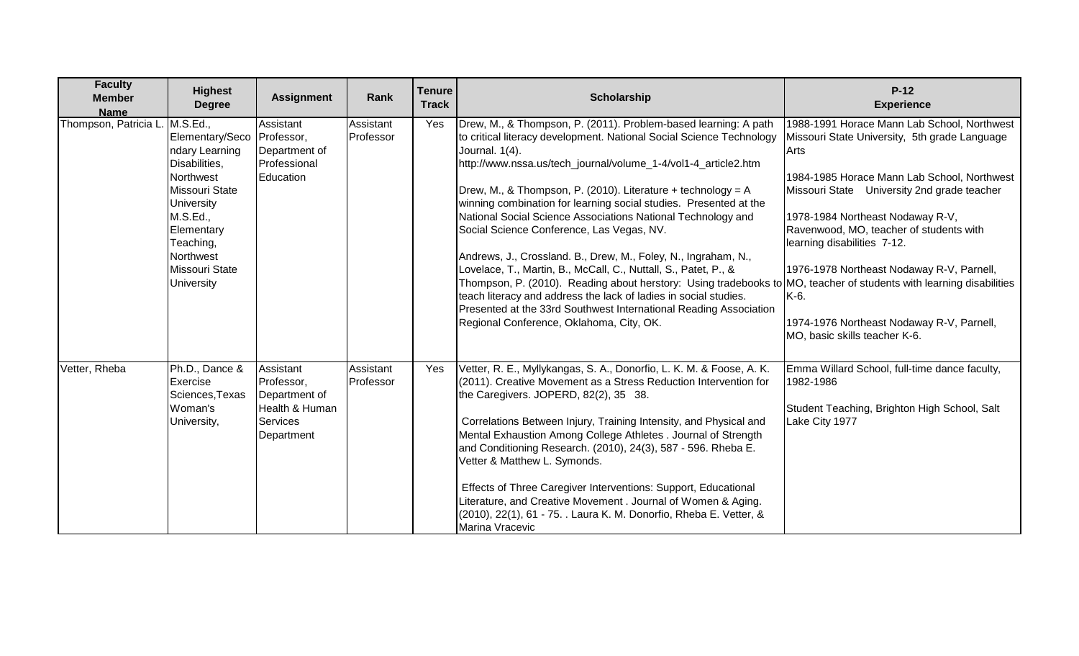| <b>Faculty</b><br><b>Member</b><br><b>Name</b> | <b>Highest</b><br><b>Degree</b>                                                                                                                                                                                      | <b>Assignment</b>                                                                           | Rank                   | <b>Tenure</b><br><b>Track</b> | Scholarship                                                                                                                                                                                                                                                                                                                                                                                                                                                                                                                                                                                                                                                                                                                                                                                                                                                                                                                    | $P-12$<br><b>Experience</b>                                                                                                                                                                                                                                                                                                                                                                                                                         |
|------------------------------------------------|----------------------------------------------------------------------------------------------------------------------------------------------------------------------------------------------------------------------|---------------------------------------------------------------------------------------------|------------------------|-------------------------------|--------------------------------------------------------------------------------------------------------------------------------------------------------------------------------------------------------------------------------------------------------------------------------------------------------------------------------------------------------------------------------------------------------------------------------------------------------------------------------------------------------------------------------------------------------------------------------------------------------------------------------------------------------------------------------------------------------------------------------------------------------------------------------------------------------------------------------------------------------------------------------------------------------------------------------|-----------------------------------------------------------------------------------------------------------------------------------------------------------------------------------------------------------------------------------------------------------------------------------------------------------------------------------------------------------------------------------------------------------------------------------------------------|
| Thompson, Patricia L                           | M.S.Ed.,<br>Elementary/Seco<br>ndary Learning<br>Disabilities,<br>Northwest<br><b>Missouri State</b><br>University<br>M.S.Ed.,<br>Elementary<br>Teaching,<br>Northwest<br><b>Missouri State</b><br><b>University</b> | Assistant<br>Professor,<br>Department of<br>Professional<br>Education                       | Assistant<br>Professor | Yes                           | Drew, M., & Thompson, P. (2011). Problem-based learning: A path<br>to critical literacy development. National Social Science Technology<br>Journal. 1(4).<br>http://www.nssa.us/tech_journal/volume_1-4/vol1-4_article2.htm<br>Drew, M., & Thompson, P. (2010). Literature + technology = A<br>winning combination for learning social studies. Presented at the<br>National Social Science Associations National Technology and<br>Social Science Conference, Las Vegas, NV.<br>Andrews, J., Crossland. B., Drew, M., Foley, N., Ingraham, N.,<br>Lovelace, T., Martin, B., McCall, C., Nuttall, S., Patet, P., &<br>Thompson, P. (2010). Reading about herstory: Using tradebooks to MO, teacher of students with learning disabilities<br>teach literacy and address the lack of ladies in social studies.<br>Presented at the 33rd Southwest International Reading Association<br>Regional Conference, Oklahoma, City, OK. | 1988-1991 Horace Mann Lab School, Northwest<br>Missouri State University, 5th grade Language<br>Arts<br>1984-1985 Horace Mann Lab School, Northwest<br>Missouri State University 2nd grade teacher<br>1978-1984 Northeast Nodaway R-V,<br>Ravenwood, MO, teacher of students with<br>learning disabilities 7-12.<br>1976-1978 Northeast Nodaway R-V, Parnell,<br>K-6.<br>1974-1976 Northeast Nodaway R-V, Parnell,<br>MO, basic skills teacher K-6. |
| Vetter, Rheba                                  | Ph.D., Dance &<br>Exercise<br>Sciences, Texas<br>Woman's<br>University,                                                                                                                                              | Assistant<br>Professor,<br>Department of<br>Health & Human<br><b>Services</b><br>Department | Assistant<br>Professor | Yes                           | Vetter, R. E., Myllykangas, S. A., Donorfio, L. K. M. & Foose, A. K.<br>(2011). Creative Movement as a Stress Reduction Intervention for<br>the Caregivers. JOPERD, 82(2), 35 38.<br>Correlations Between Injury, Training Intensity, and Physical and<br>Mental Exhaustion Among College Athletes . Journal of Strength<br>and Conditioning Research. (2010), 24(3), 587 - 596. Rheba E.<br>Vetter & Matthew L. Symonds.<br>Effects of Three Caregiver Interventions: Support, Educational<br>Literature, and Creative Movement . Journal of Women & Aging.<br>(2010), 22(1), 61 - 75. . Laura K. M. Donorfio, Rheba E. Vetter, &<br>Marina Vracevic                                                                                                                                                                                                                                                                          | Emma Willard School, full-time dance faculty,<br>1982-1986<br>Student Teaching, Brighton High School, Salt<br>Lake City 1977                                                                                                                                                                                                                                                                                                                        |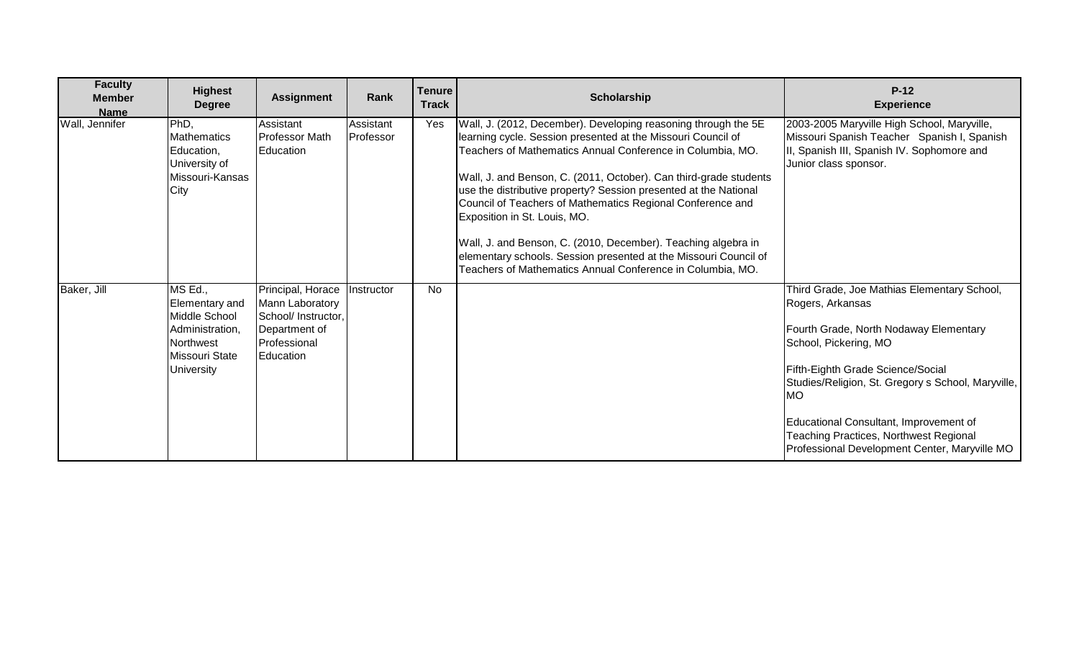| <b>Faculty</b><br><b>Member</b><br><b>Name</b> | <b>Highest</b><br><b>Degree</b>                                                                                   | <b>Assignment</b>                                                                                         | Rank                   | <b>Tenure</b><br><b>Track</b> | Scholarship                                                                                                                                                                                                                                                                                                                                                                                                                                                                                                                                                                                                                            | $P-12$<br><b>Experience</b>                                                                                                                                                                                                                                                                                                                                                     |
|------------------------------------------------|-------------------------------------------------------------------------------------------------------------------|-----------------------------------------------------------------------------------------------------------|------------------------|-------------------------------|----------------------------------------------------------------------------------------------------------------------------------------------------------------------------------------------------------------------------------------------------------------------------------------------------------------------------------------------------------------------------------------------------------------------------------------------------------------------------------------------------------------------------------------------------------------------------------------------------------------------------------------|---------------------------------------------------------------------------------------------------------------------------------------------------------------------------------------------------------------------------------------------------------------------------------------------------------------------------------------------------------------------------------|
| Wall, Jennifer                                 | PhD,<br><b>Mathematics</b><br>Education,<br>University of<br>Missouri-Kansas<br>City                              | Assistant<br>Professor Math<br>Education                                                                  | Assistant<br>Professor | Yes                           | Wall, J. (2012, December). Developing reasoning through the 5E<br>learning cycle. Session presented at the Missouri Council of<br>Teachers of Mathematics Annual Conference in Columbia, MO.<br>Wall, J. and Benson, C. (2011, October). Can third-grade students<br>use the distributive property? Session presented at the National<br>Council of Teachers of Mathematics Regional Conference and<br>Exposition in St. Louis, MO.<br>Wall, J. and Benson, C. (2010, December). Teaching algebra in<br>elementary schools. Session presented at the Missouri Council of<br>Teachers of Mathematics Annual Conference in Columbia, MO. | 2003-2005 Maryville High School, Maryville,<br>Missouri Spanish Teacher Spanish I, Spanish<br>II, Spanish III, Spanish IV. Sophomore and<br>Junior class sponsor.                                                                                                                                                                                                               |
| Baker, Jill                                    | MS Ed.,<br>Elementary and<br>Middle School<br>Administration,<br>Northwest<br>Missouri State<br><b>University</b> | Principal, Horace<br>Mann Laboratory<br>School/ Instructor,<br>Department of<br>Professional<br>Education | Instructor             | No                            |                                                                                                                                                                                                                                                                                                                                                                                                                                                                                                                                                                                                                                        | Third Grade, Joe Mathias Elementary School,<br>Rogers, Arkansas<br>Fourth Grade, North Nodaway Elementary<br>School, Pickering, MO<br>Fifth-Eighth Grade Science/Social<br>Studies/Religion, St. Gregory s School, Maryville,<br><b>MO</b><br>Educational Consultant, Improvement of<br>Teaching Practices, Northwest Regional<br>Professional Development Center, Maryville MO |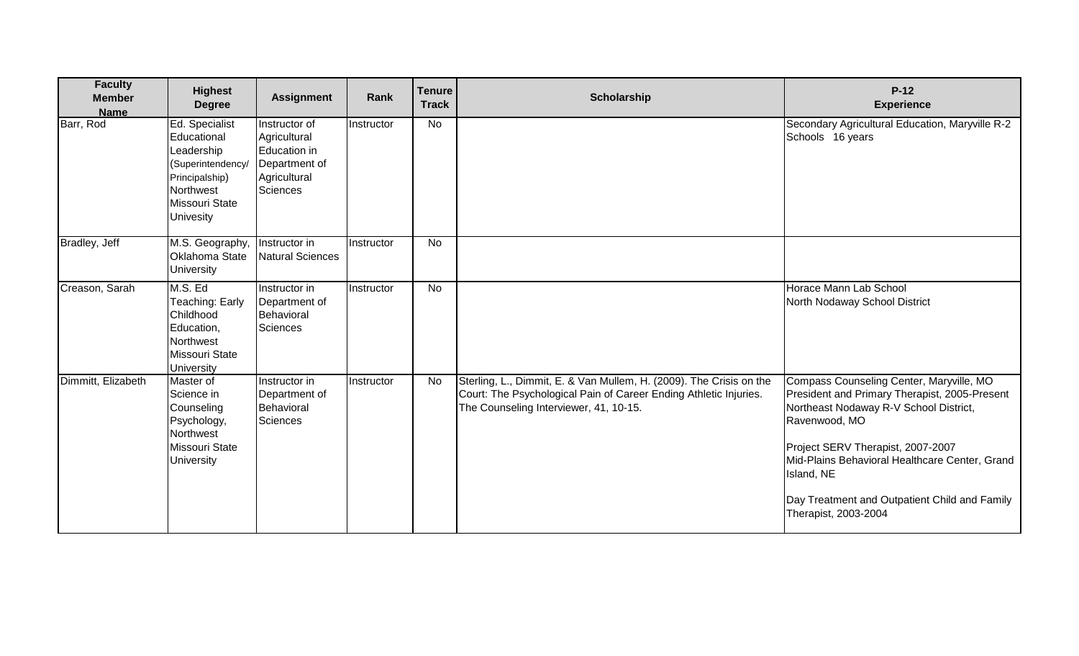| <b>Faculty</b><br><b>Member</b><br><b>Name</b> | <b>Highest</b><br><b>Degree</b>                                                                                                       | <b>Assignment</b>                                                                          | Rank              | <b>Tenure</b><br><b>Track</b> | <b>Scholarship</b>                                                                                                                                                                 | $P-12$<br><b>Experience</b>                                                                                                                                                                                                                                                                                                        |
|------------------------------------------------|---------------------------------------------------------------------------------------------------------------------------------------|--------------------------------------------------------------------------------------------|-------------------|-------------------------------|------------------------------------------------------------------------------------------------------------------------------------------------------------------------------------|------------------------------------------------------------------------------------------------------------------------------------------------------------------------------------------------------------------------------------------------------------------------------------------------------------------------------------|
| Barr, Rod                                      | Ed. Specialist<br>Educational<br>Leadership<br>(Superintendency/<br>Principalship)<br>Northwest<br>Missouri State<br><b>Univesity</b> | Instructor of<br>Agricultural<br>Education in<br>Department of<br>Agricultural<br>Sciences | <b>Instructor</b> | No                            |                                                                                                                                                                                    | Secondary Agricultural Education, Maryville R-2<br>Schools 16 years                                                                                                                                                                                                                                                                |
| Bradley, Jeff                                  | M.S. Geography,<br><b>Oklahoma State</b><br>University                                                                                | Instructor in<br><b>Natural Sciences</b>                                                   | Instructor        | No                            |                                                                                                                                                                                    |                                                                                                                                                                                                                                                                                                                                    |
| Creason, Sarah                                 | M.S. Ed<br>Teaching: Early<br>Childhood<br>Education,<br>Northwest<br>Missouri State<br><b>University</b>                             | Instructor in<br>Department of<br>Behavioral<br>Sciences                                   | Instructor        | No                            |                                                                                                                                                                                    | Horace Mann Lab School<br>North Nodaway School District                                                                                                                                                                                                                                                                            |
| Dimmitt, Elizabeth                             | Master of<br>Science in<br>Counseling<br>Psychology,<br>Northwest<br>Missouri State<br><b>University</b>                              | Instructor in<br>Department of<br>Behavioral<br><b>Sciences</b>                            | Instructor        | No                            | Sterling, L., Dimmit, E. & Van Mullem, H. (2009). The Crisis on the<br>Court: The Psychological Pain of Career Ending Athletic Injuries.<br>The Counseling Interviewer, 41, 10-15. | Compass Counseling Center, Maryville, MO<br>President and Primary Therapist, 2005-Present<br>Northeast Nodaway R-V School District,<br>Ravenwood, MO<br>Project SERV Therapist, 2007-2007<br>Mid-Plains Behavioral Healthcare Center, Grand<br>Island, NE<br>Day Treatment and Outpatient Child and Family<br>Therapist, 2003-2004 |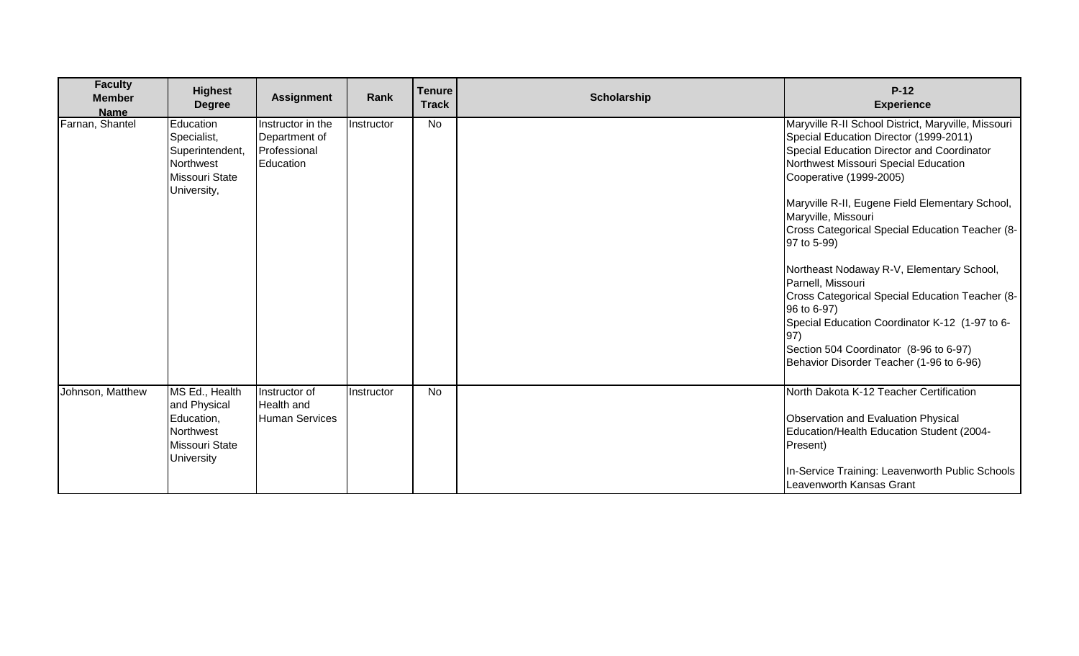| <b>Faculty</b><br><b>Member</b><br><b>Name</b> | <b>Highest</b><br><b>Degree</b>                                                           | <b>Assignment</b>                                               | Rank       | <b>Tenure</b><br><b>Track</b> | <b>Scholarship</b> | $P-12$<br><b>Experience</b>                                                                                                                                                                                                                                                              |
|------------------------------------------------|-------------------------------------------------------------------------------------------|-----------------------------------------------------------------|------------|-------------------------------|--------------------|------------------------------------------------------------------------------------------------------------------------------------------------------------------------------------------------------------------------------------------------------------------------------------------|
| Farnan, Shantel                                | Education<br>Specialist,<br>Superintendent,<br>Northwest<br>Missouri State<br>University, | Instructor in the<br>Department of<br>Professional<br>Education | Instructor | No                            |                    | Maryville R-II School District, Maryville, Missouri<br>Special Education Director (1999-2011)<br>Special Education Director and Coordinator<br>Northwest Missouri Special Education<br>Cooperative (1999-2005)<br>Maryville R-II, Eugene Field Elementary School,<br>Maryville, Missouri |
|                                                |                                                                                           |                                                                 |            |                               |                    | Cross Categorical Special Education Teacher (8-<br>97 to 5-99)                                                                                                                                                                                                                           |
|                                                |                                                                                           |                                                                 |            |                               |                    | Northeast Nodaway R-V, Elementary School,<br>Parnell, Missouri<br>Cross Categorical Special Education Teacher (8-                                                                                                                                                                        |
|                                                |                                                                                           |                                                                 |            |                               |                    | 96 to 6-97)<br>Special Education Coordinator K-12 (1-97 to 6-<br>97)                                                                                                                                                                                                                     |
|                                                |                                                                                           |                                                                 |            |                               |                    | Section 504 Coordinator (8-96 to 6-97)<br>Behavior Disorder Teacher (1-96 to 6-96)                                                                                                                                                                                                       |
| Johnson, Matthew                               | MS Ed., Health<br>and Physical<br>Education,<br>Northwest<br>Missouri State               | Instructor of<br>Health and<br><b>Human Services</b>            | Instructor | <b>No</b>                     |                    | North Dakota K-12 Teacher Certification<br>Observation and Evaluation Physical<br>Education/Health Education Student (2004-<br>Present)                                                                                                                                                  |
|                                                | University                                                                                |                                                                 |            |                               |                    | In-Service Training: Leavenworth Public Schools<br>Leavenworth Kansas Grant                                                                                                                                                                                                              |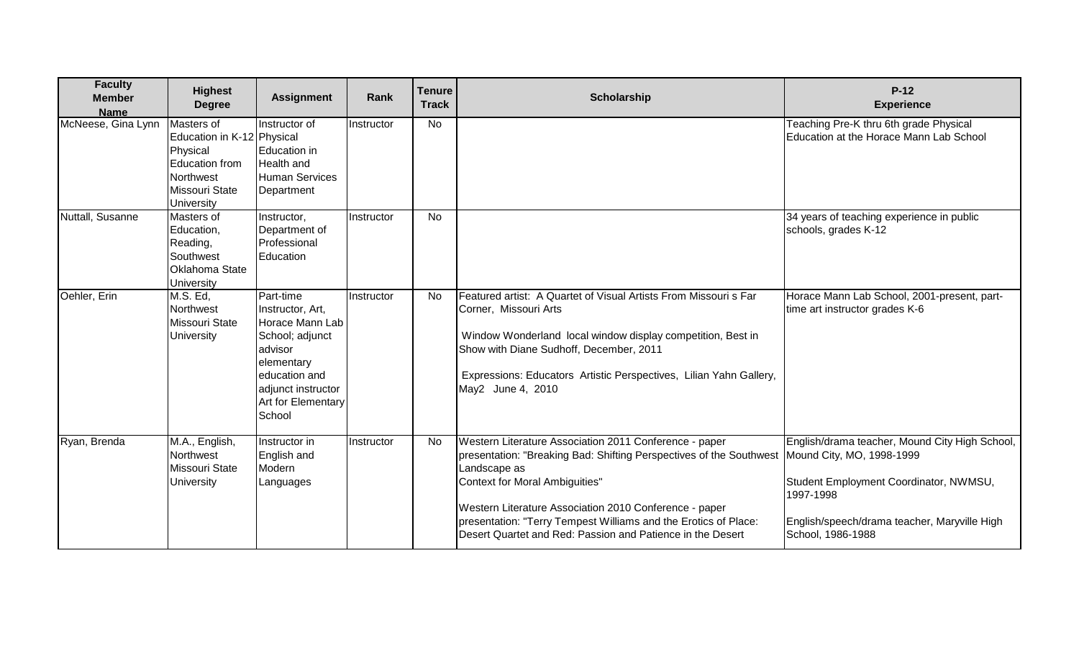| <b>Faculty</b><br><b>Member</b><br><b>Name</b> | <b>Highest</b><br><b>Degree</b>                                                                                                   | <b>Assignment</b>                                                                                                                                                   | Rank       | <b>Tenure</b><br><b>Track</b> | <b>Scholarship</b>                                                                                                                                                                                                                                                                                                                                                                                     | $P-12$<br><b>Experience</b>                                                                                                                                                |
|------------------------------------------------|-----------------------------------------------------------------------------------------------------------------------------------|---------------------------------------------------------------------------------------------------------------------------------------------------------------------|------------|-------------------------------|--------------------------------------------------------------------------------------------------------------------------------------------------------------------------------------------------------------------------------------------------------------------------------------------------------------------------------------------------------------------------------------------------------|----------------------------------------------------------------------------------------------------------------------------------------------------------------------------|
| McNeese, Gina Lynn                             | Masters of<br>Education in K-12 Physical<br>Physical<br><b>Education from</b><br>Northwest<br>Missouri State<br><b>University</b> | Instructor of<br><b>Education in</b><br><b>Health</b> and<br><b>Human Services</b><br>Department                                                                    | Instructor | <b>No</b>                     |                                                                                                                                                                                                                                                                                                                                                                                                        | Teaching Pre-K thru 6th grade Physical<br>Education at the Horace Mann Lab School                                                                                          |
| Nuttall, Susanne                               | Masters of<br>Education,<br>Reading,<br>Southwest<br><b>Oklahoma State</b><br>University                                          | Instructor,<br>Department of<br>Professional<br>Education                                                                                                           | Instructor | No                            |                                                                                                                                                                                                                                                                                                                                                                                                        | 34 years of teaching experience in public<br>schools, grades K-12                                                                                                          |
| Oehler, Erin                                   | M.S. Ed,<br>Northwest<br>Missouri State<br>University                                                                             | Part-time<br>Instructor, Art,<br>Horace Mann Lab<br>School; adjunct<br>advisor<br>elementary<br>education and<br>adjunct instructor<br>Art for Elementary<br>School | Instructor | <b>No</b>                     | Featured artist: A Quartet of Visual Artists From Missouri s Far<br>Corner, Missouri Arts<br>Window Wonderland local window display competition, Best in<br>Show with Diane Sudhoff, December, 2011<br>Expressions: Educators Artistic Perspectives, Lilian Yahn Gallery,<br>May2 June 4, 2010                                                                                                         | Horace Mann Lab School, 2001-present, part-<br>time art instructor grades K-6                                                                                              |
| Ryan, Brenda                                   | M.A., English,<br>Northwest<br>Missouri State<br><b>University</b>                                                                | Instructor in<br>English and<br>Modern<br>Languages                                                                                                                 | Instructor | <b>No</b>                     | Western Literature Association 2011 Conference - paper<br>presentation: "Breaking Bad: Shifting Perspectives of the Southwest   Mound City, MO, 1998-1999<br>Landscape as<br>Context for Moral Ambiguities"<br>Western Literature Association 2010 Conference - paper<br>presentation: "Terry Tempest Williams and the Erotics of Place:<br>Desert Quartet and Red: Passion and Patience in the Desert | English/drama teacher, Mound City High School,<br>Student Employment Coordinator, NWMSU,<br>1997-1998<br>English/speech/drama teacher, Maryville High<br>School, 1986-1988 |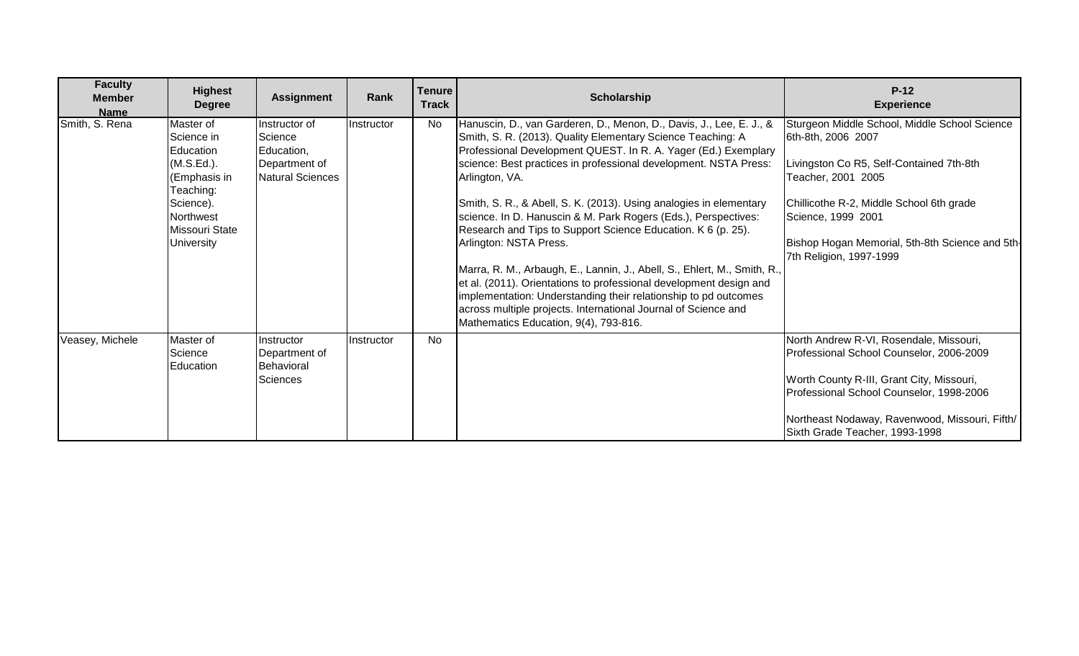| <b>Faculty</b><br><b>Member</b><br><b>Name</b> | <b>Highest</b><br><b>Degree</b>                                                                                                                  | <b>Assignment</b>                                                                  | Rank       | <b>Tenure</b><br><b>Track</b> | <b>Scholarship</b>                                                                                                                                                                                                                                                                                                                                                                                                                                                                                                                                                                                                                                                                                                                                                                                                                                           | $P-12$<br><b>Experience</b>                                                                                                                                                                                                                                                           |
|------------------------------------------------|--------------------------------------------------------------------------------------------------------------------------------------------------|------------------------------------------------------------------------------------|------------|-------------------------------|--------------------------------------------------------------------------------------------------------------------------------------------------------------------------------------------------------------------------------------------------------------------------------------------------------------------------------------------------------------------------------------------------------------------------------------------------------------------------------------------------------------------------------------------------------------------------------------------------------------------------------------------------------------------------------------------------------------------------------------------------------------------------------------------------------------------------------------------------------------|---------------------------------------------------------------------------------------------------------------------------------------------------------------------------------------------------------------------------------------------------------------------------------------|
| Smith, S. Rena                                 | Master of<br>Science in<br>Education<br>(M.S.Ed.).<br>(Emphasis in<br>Teaching:<br>Science).<br>Northwest<br>Missouri State<br><b>University</b> | Instructor of<br>Science<br>Education,<br>Department of<br><b>Natural Sciences</b> | Instructor | <b>No</b>                     | Hanuscin, D., van Garderen, D., Menon, D., Davis, J., Lee, E. J., &<br>Smith, S. R. (2013). Quality Elementary Science Teaching: A<br>Professional Development QUEST. In R. A. Yager (Ed.) Exemplary<br>science: Best practices in professional development. NSTA Press:<br>Arlington, VA.<br>Smith, S. R., & Abell, S. K. (2013). Using analogies in elementary<br>science. In D. Hanuscin & M. Park Rogers (Eds.), Perspectives:<br>Research and Tips to Support Science Education. K 6 (p. 25).<br>Arlington: NSTA Press.<br>Marra, R. M., Arbaugh, E., Lannin, J., Abell, S., Ehlert, M., Smith, R.,<br>et al. (2011). Orientations to professional development design and<br>implementation: Understanding their relationship to pd outcomes<br>across multiple projects. International Journal of Science and<br>Mathematics Education, 9(4), 793-816. | Sturgeon Middle School, Middle School Science<br>6th-8th, 2006 2007<br>Livingston Co R5, Self-Contained 7th-8th<br>Teacher, 2001 2005<br>Chillicothe R-2, Middle School 6th grade<br>Science, 1999 2001<br>Bishop Hogan Memorial, 5th-8th Science and 5th-<br>7th Religion, 1997-1999 |
| Veasey, Michele                                | Master of<br>Science<br>Education                                                                                                                | Instructor<br>Department of<br>Behavioral<br><b>Sciences</b>                       | Instructor | No                            |                                                                                                                                                                                                                                                                                                                                                                                                                                                                                                                                                                                                                                                                                                                                                                                                                                                              | North Andrew R-VI, Rosendale, Missouri,<br>Professional School Counselor, 2006-2009<br>Worth County R-III, Grant City, Missouri,<br>Professional School Counselor, 1998-2006<br>Northeast Nodaway, Ravenwood, Missouri, Fifth/<br>Sixth Grade Teacher, 1993-1998                      |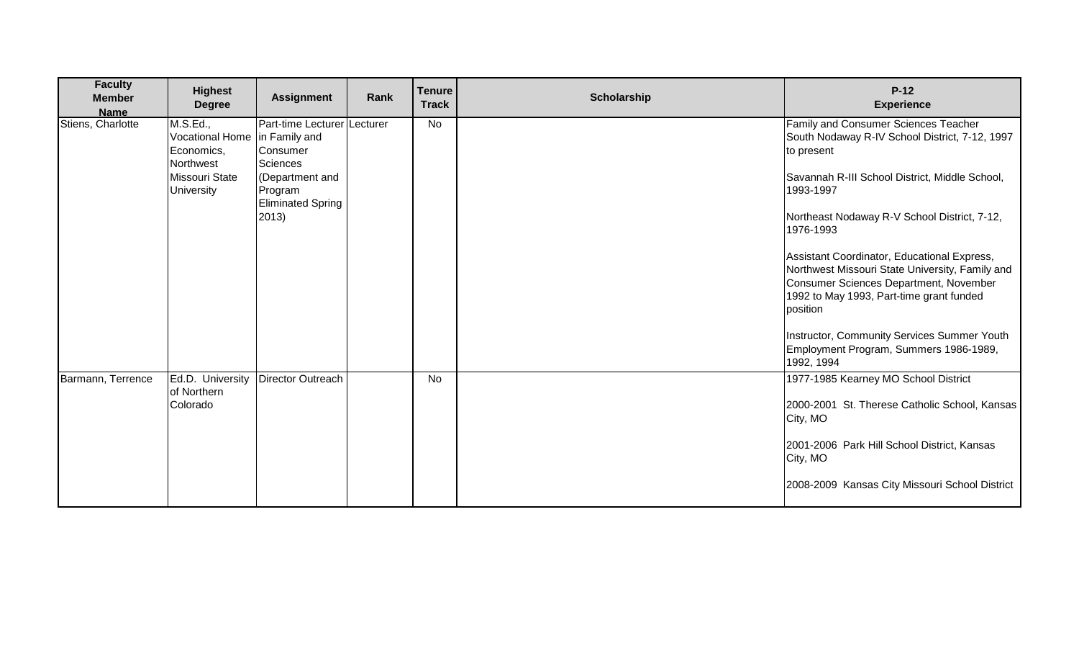| <b>Faculty</b><br><b>Member</b><br><b>Name</b> | <b>Highest</b><br><b>Degree</b>                                      | <b>Assignment</b>                                      | Rank | <b>Tenure</b><br><b>Track</b> | <b>Scholarship</b> | $P-12$<br><b>Experience</b>                                                                                                                                                                      |
|------------------------------------------------|----------------------------------------------------------------------|--------------------------------------------------------|------|-------------------------------|--------------------|--------------------------------------------------------------------------------------------------------------------------------------------------------------------------------------------------|
| Stiens, Charlotte                              | M.S.Ed.,<br>Vocational Home in Family and<br>Economics,<br>Northwest | Part-time Lecturer   Lecturer<br>Consumer<br>Sciences  |      | No                            |                    | <b>Family and Consumer Sciences Teacher</b><br>South Nodaway R-IV School District, 7-12, 1997<br>to present                                                                                      |
|                                                | Missouri State<br><b>University</b>                                  | (Department and<br>Program<br><b>Eliminated Spring</b> |      |                               |                    | Savannah R-III School District, Middle School,<br>1993-1997                                                                                                                                      |
|                                                |                                                                      | 2013)                                                  |      |                               |                    | Northeast Nodaway R-V School District, 7-12,<br>1976-1993                                                                                                                                        |
|                                                |                                                                      |                                                        |      |                               |                    | Assistant Coordinator, Educational Express,<br>Northwest Missouri State University, Family and<br>Consumer Sciences Department, November<br>1992 to May 1993, Part-time grant funded<br>position |
|                                                |                                                                      |                                                        |      |                               |                    | Instructor, Community Services Summer Youth<br>Employment Program, Summers 1986-1989,<br>1992, 1994                                                                                              |
| Barmann, Terrence                              | Ed.D. University<br>of Northern<br>Colorado                          | <b>Director Outreach</b>                               |      | No                            |                    | 1977-1985 Kearney MO School District<br>2000-2001 St. Therese Catholic School, Kansas<br>City, MO                                                                                                |
|                                                |                                                                      |                                                        |      |                               |                    | 2001-2006 Park Hill School District, Kansas<br>City, MO                                                                                                                                          |
|                                                |                                                                      |                                                        |      |                               |                    | 2008-2009 Kansas City Missouri School District                                                                                                                                                   |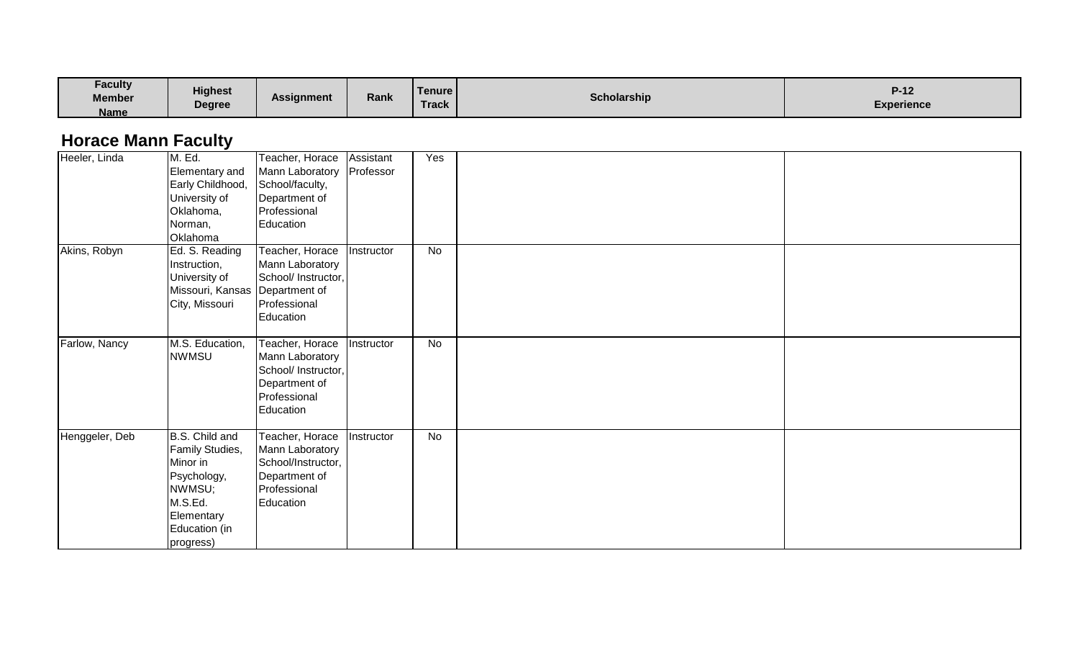| <b>Faculty</b><br><b>Member</b><br><b>Name</b> | <b>Highest</b><br><b>Degree</b> | <b>Assignment</b> | Rank | <b>Tenure</b><br><b>Track</b> | <b>Scholarship</b> | $\mathbf{A}$<br>$\blacksquare$<br><b>Experience</b> |
|------------------------------------------------|---------------------------------|-------------------|------|-------------------------------|--------------------|-----------------------------------------------------|
|------------------------------------------------|---------------------------------|-------------------|------|-------------------------------|--------------------|-----------------------------------------------------|

## **Horace Mann Faculty**

| Heeler, Linda  | M. Ed.<br>Elementary and<br>Early Childhood,<br>University of<br>Oklahoma,<br>Norman,<br>Oklahoma                             | Teacher, Horace<br>Mann Laboratory<br>School/faculty,<br>Department of<br>Professional<br>Education     | Assistant<br>Professor | Yes |  |
|----------------|-------------------------------------------------------------------------------------------------------------------------------|---------------------------------------------------------------------------------------------------------|------------------------|-----|--|
| Akins, Robyn   | Ed. S. Reading<br>Instruction,<br>University of<br>Missouri, Kansas<br>City, Missouri                                         | Teacher, Horace<br>Mann Laboratory<br>School/ Instructor,<br>Department of<br>Professional<br>Education | Instructor             | No  |  |
| Farlow, Nancy  | M.S. Education,<br><b>NWMSU</b>                                                                                               | Teacher, Horace<br>Mann Laboratory<br>School/ Instructor,<br>Department of<br>Professional<br>Education | Instructor             | No  |  |
| Henggeler, Deb | B.S. Child and<br>Family Studies,<br>Minor in<br>Psychology,<br>NWMSU;<br>M.S.Ed.<br>Elementary<br>Education (in<br>progress) | Teacher, Horace<br>Mann Laboratory<br>School/Instructor,<br>Department of<br>Professional<br>Education  | Instructor             | No  |  |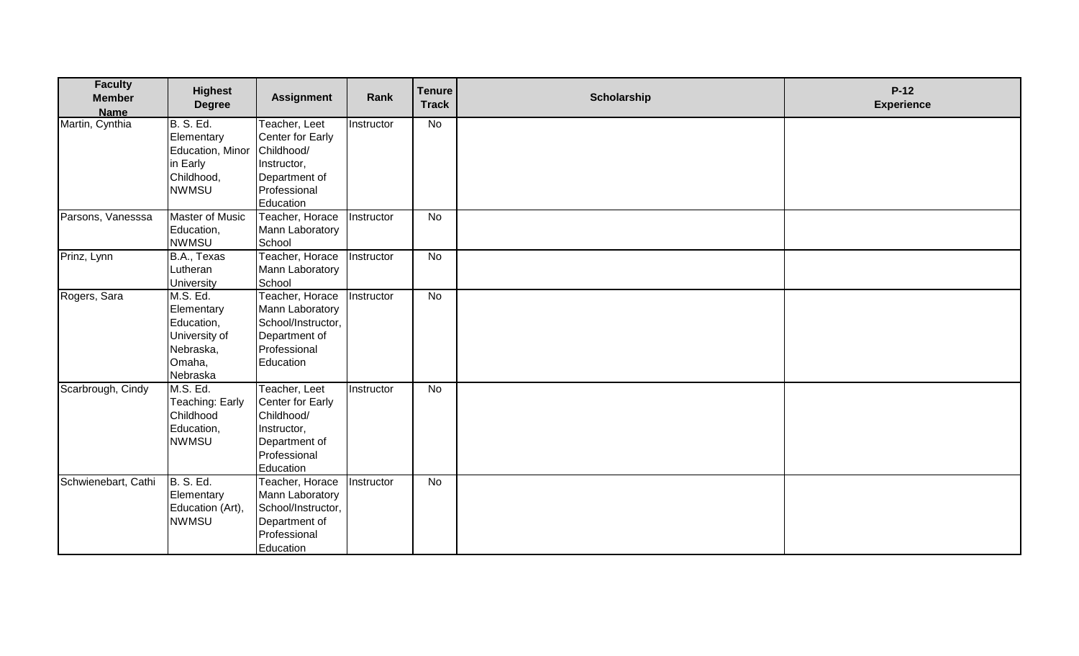| <b>Faculty</b><br><b>Member</b><br><b>Name</b> | <b>Highest</b><br><b>Degree</b>                                                              | <b>Assignment</b>                                                                                            | Rank       | <b>Tenure</b><br><b>Track</b> | <b>Scholarship</b> | $P-12$<br><b>Experience</b> |
|------------------------------------------------|----------------------------------------------------------------------------------------------|--------------------------------------------------------------------------------------------------------------|------------|-------------------------------|--------------------|-----------------------------|
| Martin, Cynthia                                | <b>B. S. Ed.</b><br>Elementary<br>Education, Minor<br>in Early<br>Childhood,<br><b>NWMSU</b> | Teacher, Leet<br>Center for Early<br>Childhood/<br>Instructor,<br>Department of<br>Professional<br>Education | Instructor | No                            |                    |                             |
| Parsons, Vanesssa                              | <b>Master of Music</b><br>Education,<br><b>NWMSU</b>                                         | Teacher, Horace<br>Mann Laboratory<br>School                                                                 | Instructor | No                            |                    |                             |
| Prinz, Lynn                                    | B.A., Texas<br>Lutheran<br><b>University</b>                                                 | Teacher, Horace<br>Mann Laboratory<br>School                                                                 | Instructor | No                            |                    |                             |
| Rogers, Sara                                   | M.S. Ed.<br>Elementary<br>Education,<br>University of<br>Nebraska,<br>Omaha,<br>Nebraska     | Teacher, Horace<br>Mann Laboratory<br>School/Instructor,<br>Department of<br>Professional<br>Education       | Instructor | No                            |                    |                             |
| Scarbrough, Cindy                              | M.S. Ed.<br>Teaching: Early<br>Childhood<br>Education,<br><b>NWMSU</b>                       | Teacher, Leet<br>Center for Early<br>Childhood/<br>Instructor,<br>Department of<br>Professional<br>Education | Instructor | $\overline{N}$                |                    |                             |
| Schwienebart, Cathi                            | <b>B. S. Ed.</b><br>Elementary<br>Education (Art),<br><b>NWMSU</b>                           | Teacher, Horace<br>Mann Laboratory<br>School/Instructor,<br>Department of<br>Professional<br>Education       | Instructor | No                            |                    |                             |